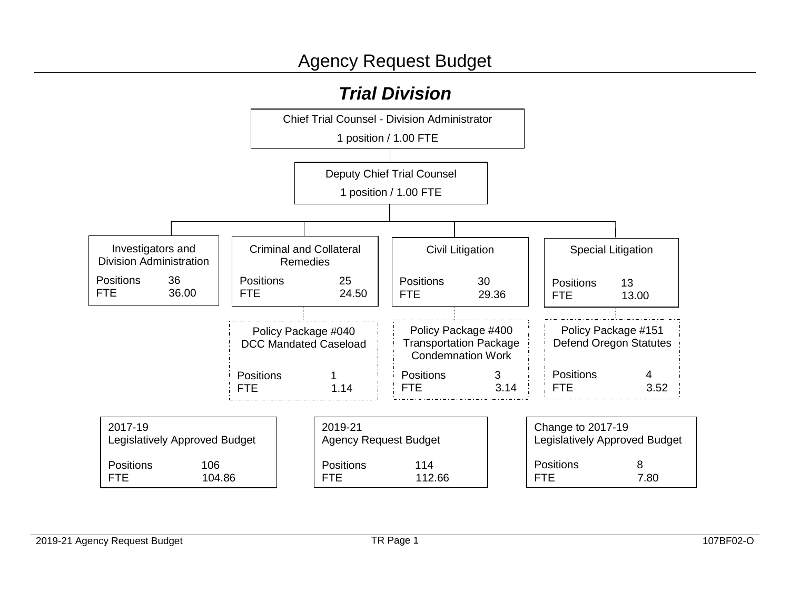# *Trial Division*

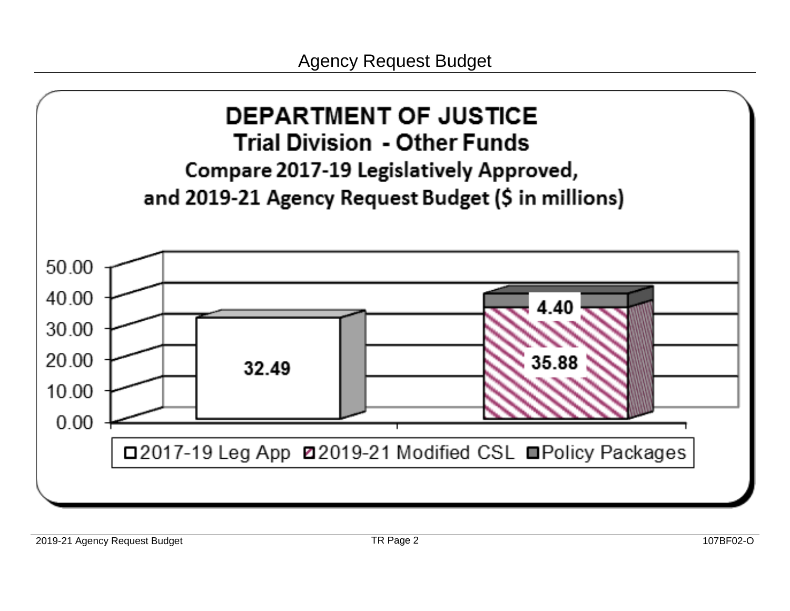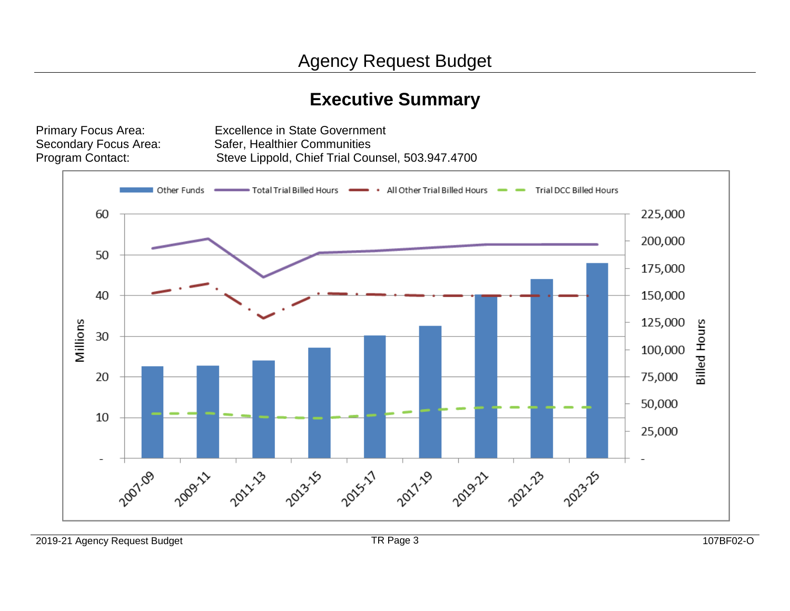# **Executive Summary**

Program Contact:

Primary Focus Area: Excellence in State Government<br>Secondary Focus Area: Safer, Healthier Communities Safer, Healthier Communities Steve Lippold, Chief Trial Counsel, 503.947.4700

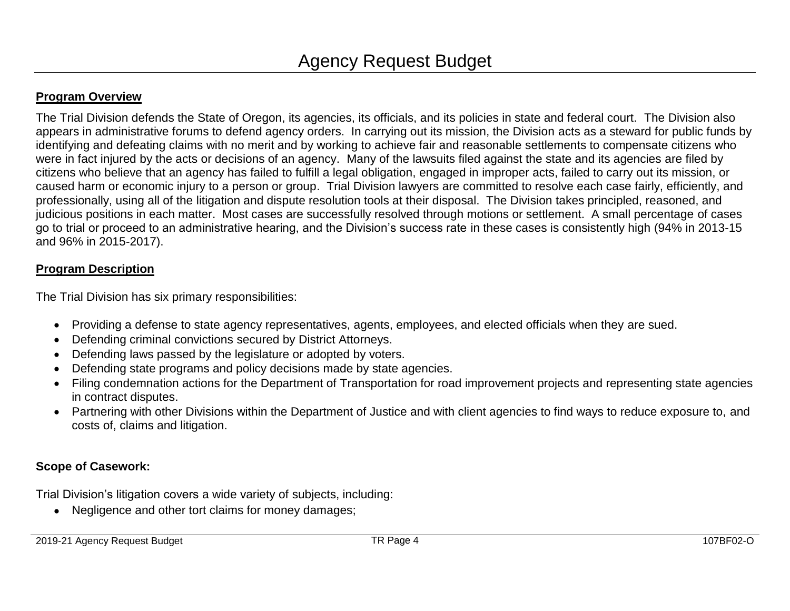#### **Program Overview**

The Trial Division defends the State of Oregon, its agencies, its officials, and its policies in state and federal court. The Division also appears in administrative forums to defend agency orders. In carrying out its mission, the Division acts as a steward for public funds by identifying and defeating claims with no merit and by working to achieve fair and reasonable settlements to compensate citizens who were in fact injured by the acts or decisions of an agency. Many of the lawsuits filed against the state and its agencies are filed by citizens who believe that an agency has failed to fulfill a legal obligation, engaged in improper acts, failed to carry out its mission, or caused harm or economic injury to a person or group. Trial Division lawyers are committed to resolve each case fairly, efficiently, and professionally, using all of the litigation and dispute resolution tools at their disposal. The Division takes principled, reasoned, and judicious positions in each matter. Most cases are successfully resolved through motions or settlement. A small percentage of cases go to trial or proceed to an administrative hearing, and the Division's success rate in these cases is consistently high (94% in 2013-15 and 96% in 2015-2017).

#### **Program Description**

The Trial Division has six primary responsibilities:

- Providing a defense to state agency representatives, agents, employees, and elected officials when they are sued.
- Defending criminal convictions secured by District Attorneys.
- Defending laws passed by the legislature or adopted by voters.
- Defending state programs and policy decisions made by state agencies.
- Filing condemnation actions for the Department of Transportation for road improvement projects and representing state agencies in contract disputes.
- Partnering with other Divisions within the Department of Justice and with client agencies to find ways to reduce exposure to, and costs of, claims and litigation.

#### **Scope of Casework:**

Trial Division's litigation covers a wide variety of subjects, including:

• Negligence and other tort claims for money damages;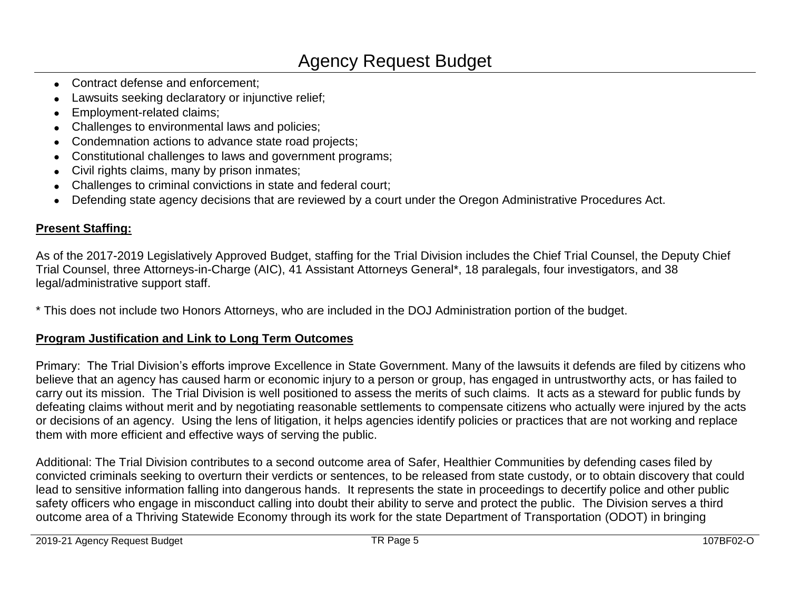- Contract defense and enforcement:
- Lawsuits seeking declaratory or injunctive relief;
- Employment-related claims;
- Challenges to environmental laws and policies;
- Condemnation actions to advance state road projects;
- Constitutional challenges to laws and government programs;
- Civil rights claims, many by prison inmates;
- Challenges to criminal convictions in state and federal court;
- Defending state agency decisions that are reviewed by a court under the Oregon Administrative Procedures Act.

### **Present Staffing:**

As of the 2017-2019 Legislatively Approved Budget, staffing for the Trial Division includes the Chief Trial Counsel, the Deputy Chief Trial Counsel, three Attorneys-in-Charge (AIC), 41 Assistant Attorneys General\*, 18 paralegals, four investigators, and 38 legal/administrative support staff.

\* This does not include two Honors Attorneys, who are included in the DOJ Administration portion of the budget.

### **Program Justification and Link to Long Term Outcomes**

Primary: The Trial Division's efforts improve Excellence in State Government. Many of the lawsuits it defends are filed by citizens who believe that an agency has caused harm or economic injury to a person or group, has engaged in untrustworthy acts, or has failed to carry out its mission. The Trial Division is well positioned to assess the merits of such claims. It acts as a steward for public funds by defeating claims without merit and by negotiating reasonable settlements to compensate citizens who actually were injured by the acts or decisions of an agency. Using the lens of litigation, it helps agencies identify policies or practices that are not working and replace them with more efficient and effective ways of serving the public.

Additional: The Trial Division contributes to a second outcome area of Safer, Healthier Communities by defending cases filed by convicted criminals seeking to overturn their verdicts or sentences, to be released from state custody, or to obtain discovery that could lead to sensitive information falling into dangerous hands. It represents the state in proceedings to decertify police and other public safety officers who engage in misconduct calling into doubt their ability to serve and protect the public. The Division serves a third outcome area of a Thriving Statewide Economy through its work for the state Department of Transportation (ODOT) in bringing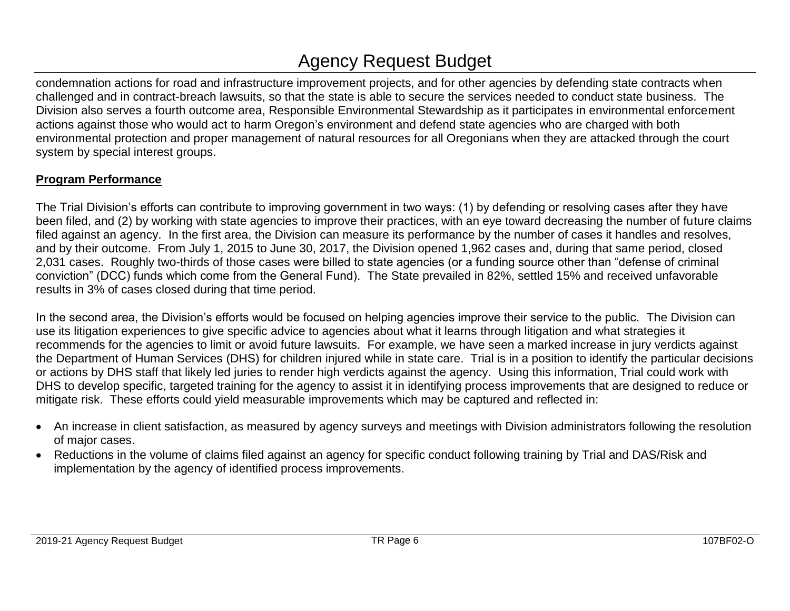condemnation actions for road and infrastructure improvement projects, and for other agencies by defending state contracts when challenged and in contract-breach lawsuits, so that the state is able to secure the services needed to conduct state business. The Division also serves a fourth outcome area, Responsible Environmental Stewardship as it participates in environmental enforcement actions against those who would act to harm Oregon's environment and defend state agencies who are charged with both environmental protection and proper management of natural resources for all Oregonians when they are attacked through the court system by special interest groups.

### **Program Performance**

The Trial Division's efforts can contribute to improving government in two ways: (1) by defending or resolving cases after they have been filed, and (2) by working with state agencies to improve their practices, with an eye toward decreasing the number of future claims filed against an agency. In the first area, the Division can measure its performance by the number of cases it handles and resolves, and by their outcome. From July 1, 2015 to June 30, 2017, the Division opened 1,962 cases and, during that same period, closed 2,031 cases. Roughly two-thirds of those cases were billed to state agencies (or a funding source other than "defense of criminal conviction" (DCC) funds which come from the General Fund). The State prevailed in 82%, settled 15% and received unfavorable results in 3% of cases closed during that time period.

In the second area, the Division's efforts would be focused on helping agencies improve their service to the public. The Division can use its litigation experiences to give specific advice to agencies about what it learns through litigation and what strategies it recommends for the agencies to limit or avoid future lawsuits. For example, we have seen a marked increase in jury verdicts against the Department of Human Services (DHS) for children injured while in state care. Trial is in a position to identify the particular decisions or actions by DHS staff that likely led juries to render high verdicts against the agency. Using this information, Trial could work with DHS to develop specific, targeted training for the agency to assist it in identifying process improvements that are designed to reduce or mitigate risk. These efforts could yield measurable improvements which may be captured and reflected in:

- An increase in client satisfaction, as measured by agency surveys and meetings with Division administrators following the resolution of major cases.
- Reductions in the volume of claims filed against an agency for specific conduct following training by Trial and DAS/Risk and implementation by the agency of identified process improvements.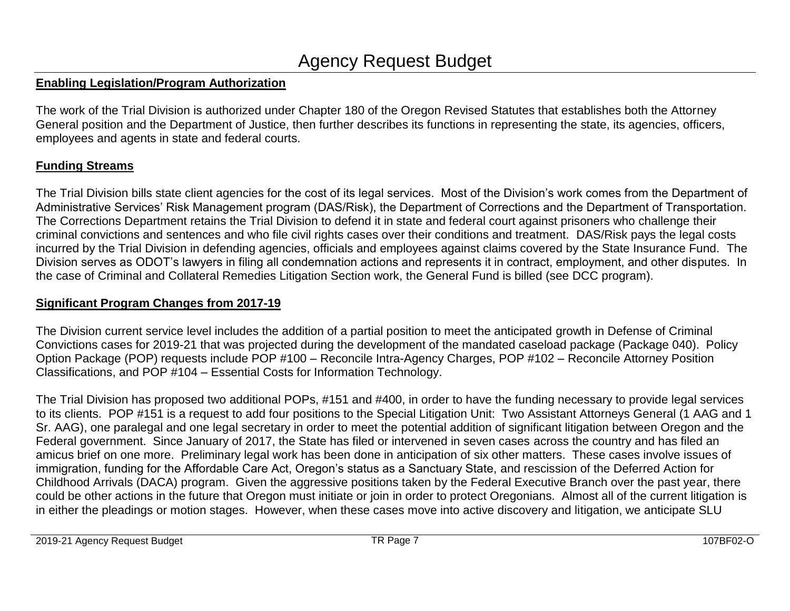#### **Enabling Legislation/Program Authorization**

The work of the Trial Division is authorized under Chapter 180 of the Oregon Revised Statutes that establishes both the Attorney General position and the Department of Justice, then further describes its functions in representing the state, its agencies, officers, employees and agents in state and federal courts.

### **Funding Streams**

The Trial Division bills state client agencies for the cost of its legal services. Most of the Division's work comes from the Department of Administrative Services' Risk Management program (DAS/Risk), the Department of Corrections and the Department of Transportation. The Corrections Department retains the Trial Division to defend it in state and federal court against prisoners who challenge their criminal convictions and sentences and who file civil rights cases over their conditions and treatment. DAS/Risk pays the legal costs incurred by the Trial Division in defending agencies, officials and employees against claims covered by the State Insurance Fund. The Division serves as ODOT's lawyers in filing all condemnation actions and represents it in contract, employment, and other disputes. In the case of Criminal and Collateral Remedies Litigation Section work, the General Fund is billed (see DCC program).

### **Significant Program Changes from 2017-19**

The Division current service level includes the addition of a partial position to meet the anticipated growth in Defense of Criminal Convictions cases for 2019-21 that was projected during the development of the mandated caseload package (Package 040). Policy Option Package (POP) requests include POP #100 – Reconcile Intra-Agency Charges, POP #102 – Reconcile Attorney Position Classifications, and POP #104 – Essential Costs for Information Technology.

The Trial Division has proposed two additional POPs, #151 and #400, in order to have the funding necessary to provide legal services to its clients. POP #151 is a request to add four positions to the Special Litigation Unit: Two Assistant Attorneys General (1 AAG and 1 Sr. AAG), one paralegal and one legal secretary in order to meet the potential addition of significant litigation between Oregon and the Federal government. Since January of 2017, the State has filed or intervened in seven cases across the country and has filed an amicus brief on one more. Preliminary legal work has been done in anticipation of six other matters. These cases involve issues of immigration, funding for the Affordable Care Act, Oregon's status as a Sanctuary State, and rescission of the Deferred Action for Childhood Arrivals (DACA) program. Given the aggressive positions taken by the Federal Executive Branch over the past year, there could be other actions in the future that Oregon must initiate or join in order to protect Oregonians. Almost all of the current litigation is in either the pleadings or motion stages. However, when these cases move into active discovery and litigation, we anticipate SLU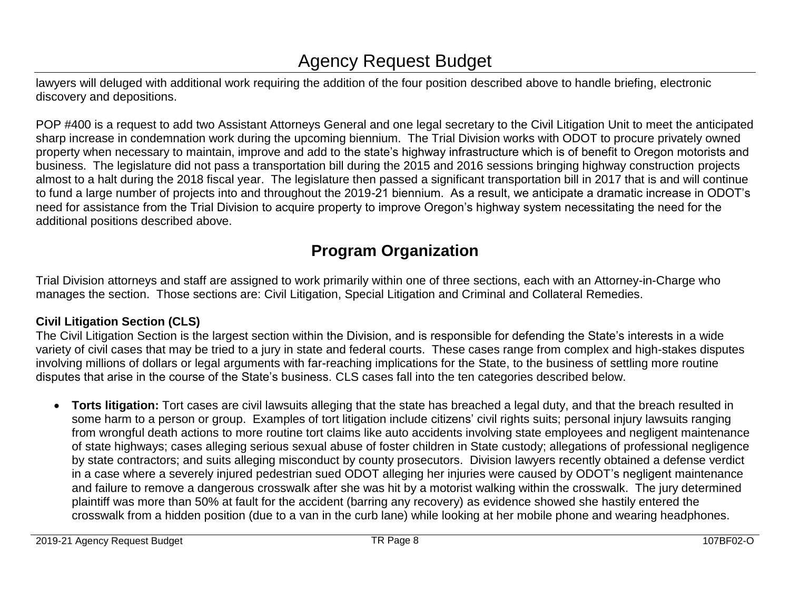lawyers will deluged with additional work requiring the addition of the four position described above to handle briefing, electronic discovery and depositions.

POP #400 is a request to add two Assistant Attorneys General and one legal secretary to the Civil Litigation Unit to meet the anticipated sharp increase in condemnation work during the upcoming biennium. The Trial Division works with ODOT to procure privately owned property when necessary to maintain, improve and add to the state's highway infrastructure which is of benefit to Oregon motorists and business. The legislature did not pass a transportation bill during the 2015 and 2016 sessions bringing highway construction projects almost to a halt during the 2018 fiscal year. The legislature then passed a significant transportation bill in 2017 that is and will continue to fund a large number of projects into and throughout the 2019-21 biennium. As a result, we anticipate a dramatic increase in ODOT's need for assistance from the Trial Division to acquire property to improve Oregon's highway system necessitating the need for the additional positions described above.

### **Program Organization**

Trial Division attorneys and staff are assigned to work primarily within one of three sections, each with an Attorney-in-Charge who manages the section. Those sections are: Civil Litigation, Special Litigation and Criminal and Collateral Remedies.

### **Civil Litigation Section (CLS)**

The Civil Litigation Section is the largest section within the Division, and is responsible for defending the State's interests in a wide variety of civil cases that may be tried to a jury in state and federal courts. These cases range from complex and high-stakes disputes involving millions of dollars or legal arguments with far-reaching implications for the State, to the business of settling more routine disputes that arise in the course of the State's business. CLS cases fall into the ten categories described below.

 **Torts litigation:** Tort cases are civil lawsuits alleging that the state has breached a legal duty, and that the breach resulted in some harm to a person or group. Examples of tort litigation include citizens' civil rights suits; personal injury lawsuits ranging from wrongful death actions to more routine tort claims like auto accidents involving state employees and negligent maintenance of state highways; cases alleging serious sexual abuse of foster children in State custody; allegations of professional negligence by state contractors; and suits alleging misconduct by county prosecutors. Division lawyers recently obtained a defense verdict in a case where a severely injured pedestrian sued ODOT alleging her injuries were caused by ODOT's negligent maintenance and failure to remove a dangerous crosswalk after she was hit by a motorist walking within the crosswalk. The jury determined plaintiff was more than 50% at fault for the accident (barring any recovery) as evidence showed she hastily entered the crosswalk from a hidden position (due to a van in the curb lane) while looking at her mobile phone and wearing headphones.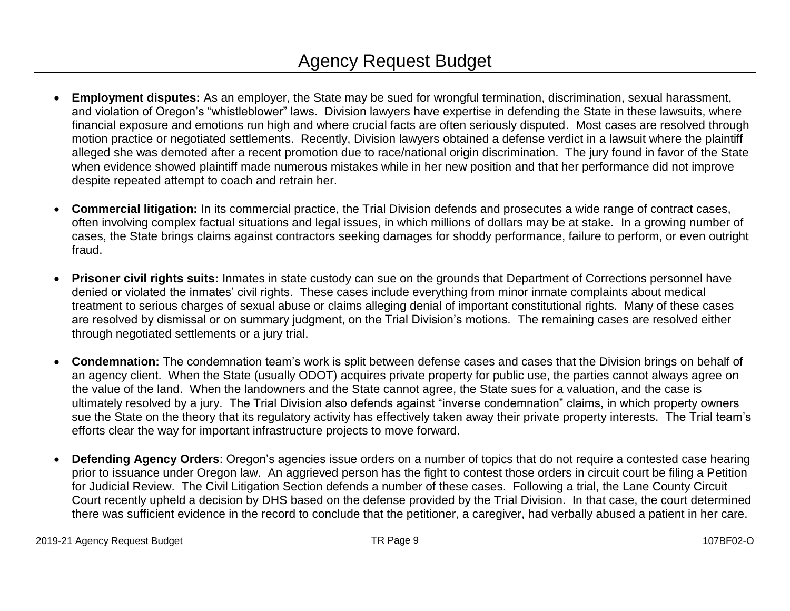- **Employment disputes:** As an employer, the State may be sued for wrongful termination, discrimination, sexual harassment, and violation of Oregon's "whistleblower" laws. Division lawyers have expertise in defending the State in these lawsuits, where financial exposure and emotions run high and where crucial facts are often seriously disputed. Most cases are resolved through motion practice or negotiated settlements. Recently, Division lawyers obtained a defense verdict in a lawsuit where the plaintiff alleged she was demoted after a recent promotion due to race/national origin discrimination. The jury found in favor of the State when evidence showed plaintiff made numerous mistakes while in her new position and that her performance did not improve despite repeated attempt to coach and retrain her.
- **Commercial litigation:** In its commercial practice, the Trial Division defends and prosecutes a wide range of contract cases, often involving complex factual situations and legal issues, in which millions of dollars may be at stake. In a growing number of cases, the State brings claims against contractors seeking damages for shoddy performance, failure to perform, or even outright fraud.
- **Prisoner civil rights suits:** Inmates in state custody can sue on the grounds that Department of Corrections personnel have denied or violated the inmates' civil rights. These cases include everything from minor inmate complaints about medical treatment to serious charges of sexual abuse or claims alleging denial of important constitutional rights. Many of these cases are resolved by dismissal or on summary judgment, on the Trial Division's motions. The remaining cases are resolved either through negotiated settlements or a jury trial.
- **Condemnation:** The condemnation team's work is split between defense cases and cases that the Division brings on behalf of an agency client. When the State (usually ODOT) acquires private property for public use, the parties cannot always agree on the value of the land. When the landowners and the State cannot agree, the State sues for a valuation, and the case is ultimately resolved by a jury. The Trial Division also defends against "inverse condemnation" claims, in which property owners sue the State on the theory that its regulatory activity has effectively taken away their private property interests. The Trial team's efforts clear the way for important infrastructure projects to move forward.
- **Defending Agency Orders**: Oregon's agencies issue orders on a number of topics that do not require a contested case hearing prior to issuance under Oregon law. An aggrieved person has the fight to contest those orders in circuit court be filing a Petition for Judicial Review. The Civil Litigation Section defends a number of these cases. Following a trial, the Lane County Circuit Court recently upheld a decision by DHS based on the defense provided by the Trial Division. In that case, the court determined there was sufficient evidence in the record to conclude that the petitioner, a caregiver, had verbally abused a patient in her care.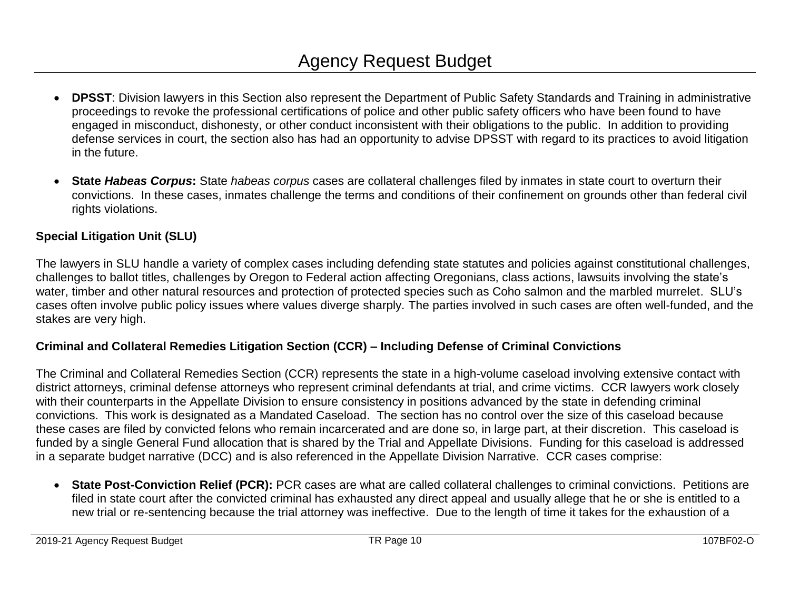- **DPSST**: Division lawyers in this Section also represent the Department of Public Safety Standards and Training in administrative proceedings to revoke the professional certifications of police and other public safety officers who have been found to have engaged in misconduct, dishonesty, or other conduct inconsistent with their obligations to the public. In addition to providing defense services in court, the section also has had an opportunity to advise DPSST with regard to its practices to avoid litigation in the future.
- **State** *Habeas Corpus***:** State *habeas corpus* cases are collateral challenges filed by inmates in state court to overturn their convictions. In these cases, inmates challenge the terms and conditions of their confinement on grounds other than federal civil rights violations.

### **Special Litigation Unit (SLU)**

The lawyers in SLU handle a variety of complex cases including defending state statutes and policies against constitutional challenges, challenges to ballot titles, challenges by Oregon to Federal action affecting Oregonians, class actions, lawsuits involving the state's water, timber and other natural resources and protection of protected species such as Coho salmon and the marbled murrelet. SLU's cases often involve public policy issues where values diverge sharply. The parties involved in such cases are often well-funded, and the stakes are very high.

#### **Criminal and Collateral Remedies Litigation Section (CCR) – Including Defense of Criminal Convictions**

The Criminal and Collateral Remedies Section (CCR) represents the state in a high-volume caseload involving extensive contact with district attorneys, criminal defense attorneys who represent criminal defendants at trial, and crime victims. CCR lawyers work closely with their counterparts in the Appellate Division to ensure consistency in positions advanced by the state in defending criminal convictions. This work is designated as a Mandated Caseload. The section has no control over the size of this caseload because these cases are filed by convicted felons who remain incarcerated and are done so, in large part, at their discretion. This caseload is funded by a single General Fund allocation that is shared by the Trial and Appellate Divisions. Funding for this caseload is addressed in a separate budget narrative (DCC) and is also referenced in the Appellate Division Narrative. CCR cases comprise:

 **State Post-Conviction Relief (PCR):** PCR cases are what are called collateral challenges to criminal convictions. Petitions are filed in state court after the convicted criminal has exhausted any direct appeal and usually allege that he or she is entitled to a new trial or re-sentencing because the trial attorney was ineffective. Due to the length of time it takes for the exhaustion of a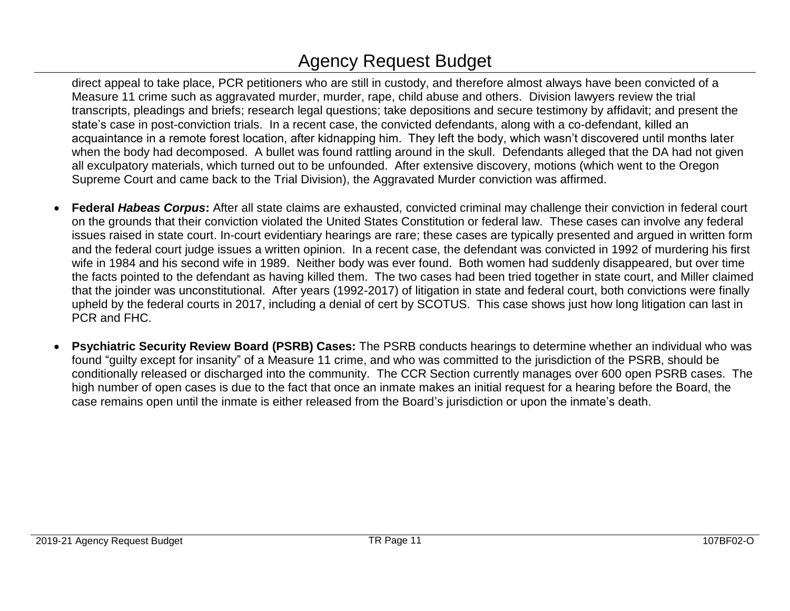direct appeal to take place, PCR petitioners who are still in custody, and therefore almost always have been convicted of a Measure 11 crime such as aggravated murder, murder, rape, child abuse and others. Division lawyers review the trial transcripts, pleadings and briefs; research legal questions; take depositions and secure testimony by affidavit; and present the state's case in post-conviction trials. In a recent case, the convicted defendants, along with a co-defendant, killed an acquaintance in a remote forest location, after kidnapping him. They left the body, which wasn't discovered until months later when the body had decomposed. A bullet was found rattling around in the skull. Defendants alleged that the DA had not given all exculpatory materials, which turned out to be unfounded. After extensive discovery, motions (which went to the Oregon Supreme Court and came back to the Trial Division), the Aggravated Murder conviction was affirmed.

- **Federal** *Habeas Corpus***:** After all state claims are exhausted, convicted criminal may challenge their conviction in federal court on the grounds that their conviction violated the United States Constitution or federal law. These cases can involve any federal issues raised in state court. In-court evidentiary hearings are rare; these cases are typically presented and argued in written form and the federal court judge issues a written opinion. In a recent case, the defendant was convicted in 1992 of murdering his first wife in 1984 and his second wife in 1989. Neither body was ever found. Both women had suddenly disappeared, but over time the facts pointed to the defendant as having killed them. The two cases had been tried together in state court, and Miller claimed that the joinder was unconstitutional. After years (1992-2017) of litigation in state and federal court, both convictions were finally upheld by the federal courts in 2017, including a denial of cert by SCOTUS. This case shows just how long litigation can last in PCR and FHC.
- **Psychiatric Security Review Board (PSRB) Cases:** The PSRB conducts hearings to determine whether an individual who was found "guilty except for insanity" of a Measure 11 crime, and who was committed to the jurisdiction of the PSRB, should be conditionally released or discharged into the community. The CCR Section currently manages over 600 open PSRB cases. The high number of open cases is due to the fact that once an inmate makes an initial request for a hearing before the Board, the case remains open until the inmate is either released from the Board's jurisdiction or upon the inmate's death.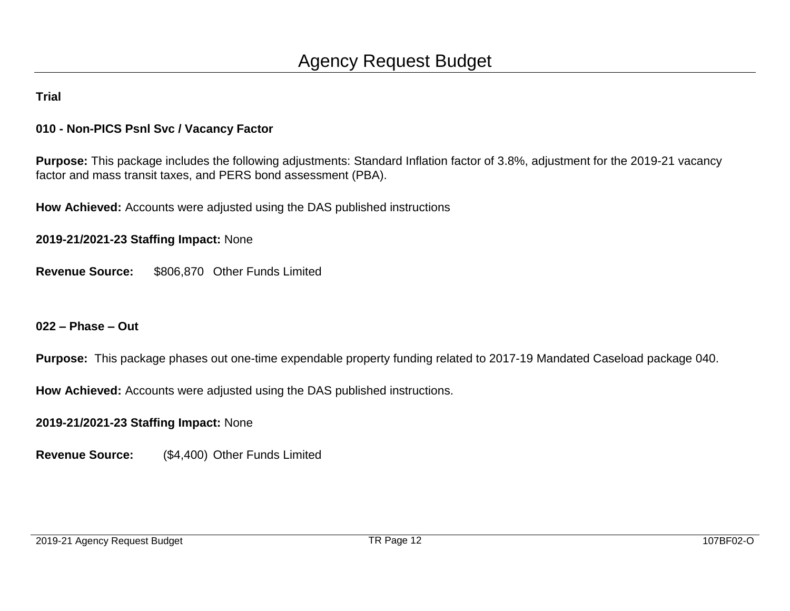#### **010 - Non-PICS Psnl Svc / Vacancy Factor**

**Purpose:** This package includes the following adjustments: Standard Inflation factor of 3.8%, adjustment for the 2019-21 vacancy factor and mass transit taxes, and PERS bond assessment (PBA).

**How Achieved:** Accounts were adjusted using the DAS published instructions

**2019-21/2021-23 Staffing Impact:** None

**Revenue Source:** \$806,870 Other Funds Limited

**022 – Phase – Out**

**Purpose:** This package phases out one-time expendable property funding related to 2017-19 Mandated Caseload package 040.

**How Achieved:** Accounts were adjusted using the DAS published instructions.

**2019-21/2021-23 Staffing Impact:** None

**Revenue Source:** (\$4,400) Other Funds Limited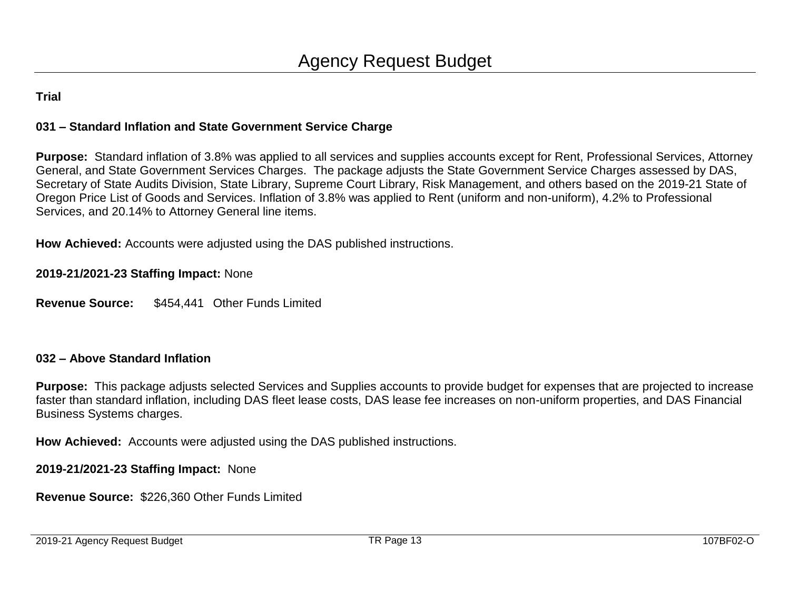#### **031 – Standard Inflation and State Government Service Charge**

**Purpose:** Standard inflation of 3.8% was applied to all services and supplies accounts except for Rent, Professional Services, Attorney General, and State Government Services Charges. The package adjusts the State Government Service Charges assessed by DAS, Secretary of State Audits Division, State Library, Supreme Court Library, Risk Management, and others based on the 2019-21 State of Oregon Price List of Goods and Services. Inflation of 3.8% was applied to Rent (uniform and non-uniform), 4.2% to Professional Services, and 20.14% to Attorney General line items.

**How Achieved:** Accounts were adjusted using the DAS published instructions.

**2019-21/2021-23 Staffing Impact:** None

**Revenue Source:** \$454,441 Other Funds Limited

#### **032 – Above Standard Inflation**

**Purpose:** This package adjusts selected Services and Supplies accounts to provide budget for expenses that are projected to increase faster than standard inflation, including DAS fleet lease costs, DAS lease fee increases on non-uniform properties, and DAS Financial Business Systems charges.

**How Achieved:** Accounts were adjusted using the DAS published instructions.

**2019-21/2021-23 Staffing Impact:** None

**Revenue Source:** \$226,360 Other Funds Limited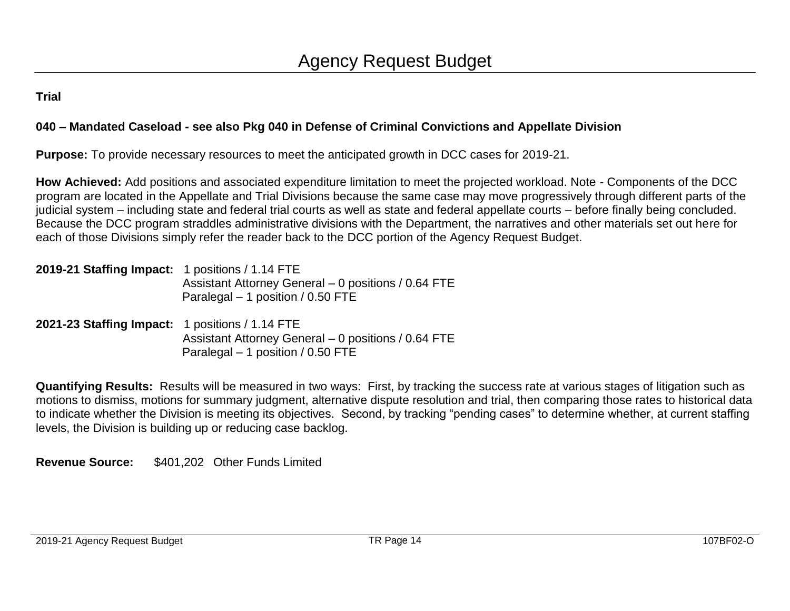#### **040 – Mandated Caseload - see also Pkg 040 in Defense of Criminal Convictions and Appellate Division**

**Purpose:** To provide necessary resources to meet the anticipated growth in DCC cases for 2019-21.

**How Achieved:** Add positions and associated expenditure limitation to meet the projected workload. Note - Components of the DCC program are located in the Appellate and Trial Divisions because the same case may move progressively through different parts of the judicial system – including state and federal trial courts as well as state and federal appellate courts – before finally being concluded. Because the DCC program straddles administrative divisions with the Department, the narratives and other materials set out here for each of those Divisions simply refer the reader back to the DCC portion of the Agency Request Budget.

| 2019-21 Staffing Impact: 1 positions / 1.14 FTE |                                                     |
|-------------------------------------------------|-----------------------------------------------------|
|                                                 | Assistant Attorney General – 0 positions / 0.64 FTE |
|                                                 | Paralegal $-1$ position / 0.50 FTE                  |

**2021-23 Staffing Impact:** 1 positions / 1.14 FTE Assistant Attorney General – 0 positions / 0.64 FTE Paralegal – 1 position / 0.50 FTE

**Quantifying Results:** Results will be measured in two ways: First, by tracking the success rate at various stages of litigation such as motions to dismiss, motions for summary judgment, alternative dispute resolution and trial, then comparing those rates to historical data to indicate whether the Division is meeting its objectives. Second, by tracking "pending cases" to determine whether, at current staffing levels, the Division is building up or reducing case backlog.

**Revenue Source:** \$401,202 Other Funds Limited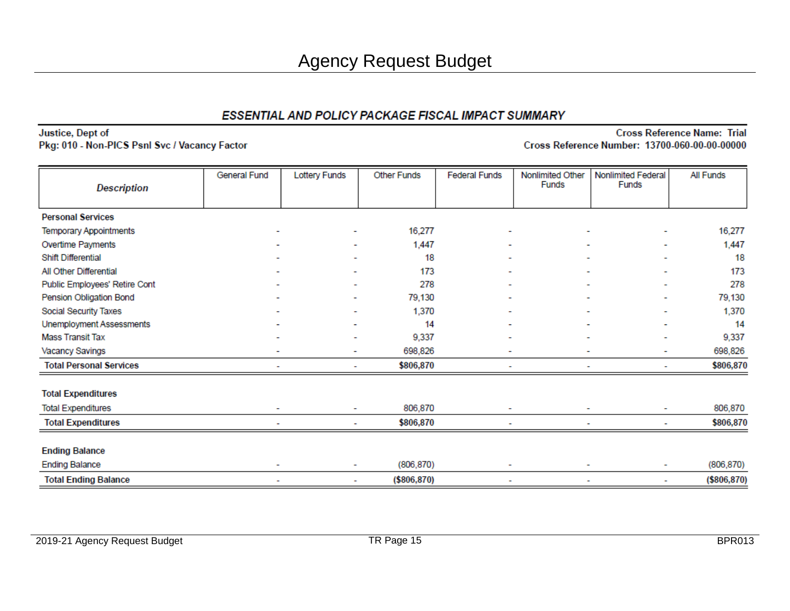Justice, Dept of Pkg: 010 - Non-PICS Psnl Svc / Vacancy Factor

| <b>Description</b>             | General Fund | <b>Lottery Funds</b> | <b>Other Funds</b> | <b>Federal Funds</b> | Nonlimited Other<br><b>Funds</b> | Nonlimited Federal<br><b>Funds</b> | All Funds    |
|--------------------------------|--------------|----------------------|--------------------|----------------------|----------------------------------|------------------------------------|--------------|
|                                |              |                      |                    |                      |                                  |                                    |              |
| <b>Personal Services</b>       |              |                      |                    |                      |                                  |                                    |              |
| <b>Temporary Appointments</b>  |              | ۰                    | 16,277             |                      |                                  | ۰                                  | 16,277       |
| Overtime Payments              |              | ٠                    | 1,447              |                      |                                  | ۰                                  | 1,447        |
| Shift Differential             |              |                      | 18                 |                      |                                  |                                    | 18           |
| All Other Differential         |              | ۰                    | 173                |                      |                                  |                                    | 173          |
| Public Employees' Retire Cont  |              |                      | 278                |                      |                                  |                                    | 278          |
| Pension Obligation Bond        |              | ٠                    | 79,130             |                      |                                  |                                    | 79,130       |
| Social Security Taxes          |              |                      | 1,370              |                      |                                  |                                    | 1,370        |
| Unemployment Assessments       |              |                      | 14                 |                      |                                  |                                    | 14           |
| <b>Mass Transit Tax</b>        |              |                      | 9,337              |                      |                                  |                                    | 9,337        |
| Vacancy Savings                |              | ۰                    | 698,826            |                      | ۰                                | ۰                                  | 698,826      |
| <b>Total Personal Services</b> |              | ٠                    | \$806,870          |                      | ۰                                | $\blacksquare$                     | \$806,870    |
| <b>Total Expenditures</b>      |              |                      |                    |                      |                                  |                                    |              |
| <b>Total Expenditures</b>      | ٠            | ٠                    | 806,870            |                      |                                  | $\overline{\phantom{a}}$           | 806,870      |
| <b>Total Expenditures</b>      |              | ۰                    | \$806,870          |                      | ۰                                | ٠                                  | \$806,870    |
| <b>Ending Balance</b>          |              |                      |                    |                      |                                  |                                    |              |
| <b>Ending Balance</b>          |              | ۰                    | (806, 870)         |                      |                                  | ۰                                  | (806, 870)   |
|                                |              |                      |                    |                      |                                  |                                    |              |
| <b>Total Ending Balance</b>    |              | ۰                    | (\$806, 870)       | ۰                    | ٠                                | $\blacksquare$                     | (\$806, 870) |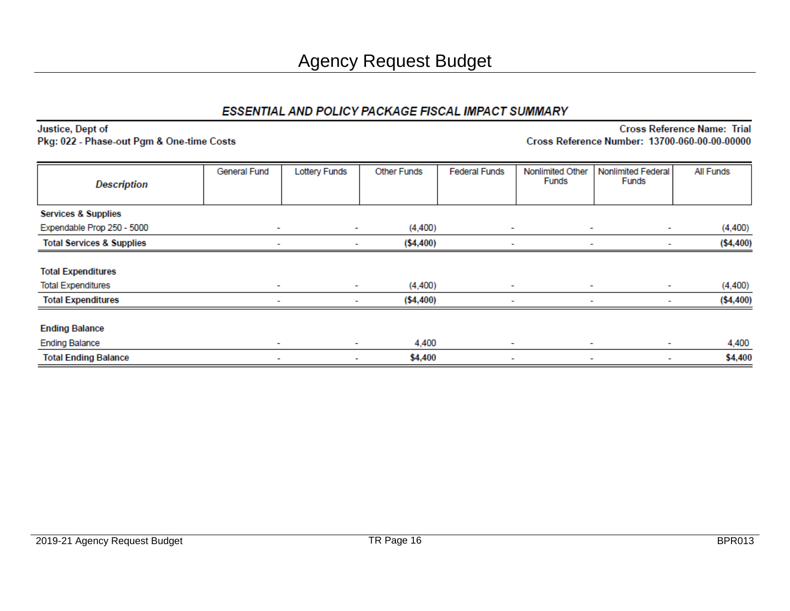Justice, Dept of Pkg: 022 - Phase-out Pgm & One-time Costs

| <b>Description</b>                   | General Fund | <b>Lottery Funds</b> | <b>Other Funds</b> | <b>Federal Funds</b>     | Nonlimited Other<br><b>Funds</b> | Nonlimited Federal<br>Funds | All Funds  |
|--------------------------------------|--------------|----------------------|--------------------|--------------------------|----------------------------------|-----------------------------|------------|
|                                      |              |                      |                    |                          |                                  |                             |            |
| <b>Services &amp; Supplies</b>       |              |                      |                    |                          |                                  |                             |            |
| Expendable Prop 250 - 5000           | ٠            | ٠                    | (4,400)            | ٠                        | ٠                                | ٠                           | (4, 400)   |
| <b>Total Services &amp; Supplies</b> | ۰            |                      | (\$4,400)          | $\overline{\phantom{a}}$ | ٠                                | $\sim$                      | ( \$4,400) |
| <b>Total Expenditures</b>            |              |                      |                    |                          |                                  |                             |            |
| <b>Total Expenditures</b>            | ٠            | $\sim$               | (4,400)            | $\sim$                   | ٠                                | ٠                           | (4, 400)   |
| <b>Total Expenditures</b>            | ٠            | ۰                    | (\$4,400)          | $\overline{\phantom{a}}$ | ٠                                | ٠                           | ( \$4,400) |
| <b>Ending Balance</b>                |              |                      |                    |                          |                                  |                             |            |
| <b>Ending Balance</b>                | ٠            | ٠                    | 4,400              | $\sim$                   | $\sim$                           | ٠                           | 4,400      |
| <b>Total Ending Balance</b>          | ٠            | ٠                    | \$4,400            | $\sim$                   | ۰                                | ۰                           | \$4,400    |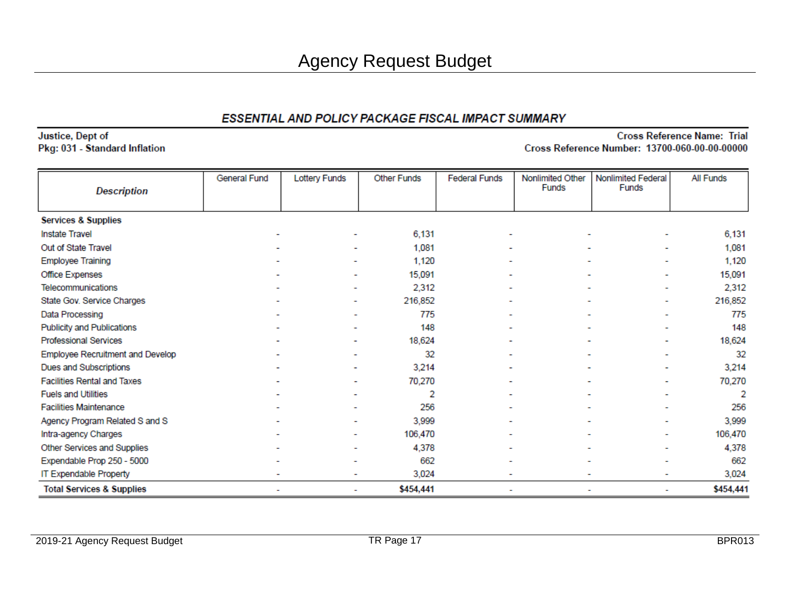Justice, Dept of Pkg: 031 - Standard Inflation

|                                      | General Fund | <b>Lottery Funds</b>     | <b>Other Funds</b> | <b>Federal Funds</b> | Nonlimited Other | Nonlimited Federal       | All Funds |
|--------------------------------------|--------------|--------------------------|--------------------|----------------------|------------------|--------------------------|-----------|
| <b>Description</b>                   |              |                          |                    |                      | <b>Funds</b>     | Funds                    |           |
|                                      |              |                          |                    |                      |                  |                          |           |
| <b>Services &amp; Supplies</b>       |              |                          |                    |                      |                  |                          |           |
| <b>Instate Travel</b>                |              |                          | 6,131              |                      |                  |                          | 6,131     |
| Out of State Travel                  |              | $\overline{\phantom{0}}$ | 1,081              |                      |                  | ۰                        | 1,081     |
| <b>Employee Training</b>             |              |                          | 1,120              |                      |                  |                          | 1,120     |
| Office Expenses                      |              | $\overline{\phantom{a}}$ | 15,091             |                      |                  | ۰                        | 15,091    |
| Telecommunications                   |              |                          | 2,312              |                      |                  | $\overline{\phantom{0}}$ | 2,312     |
| State Gov. Service Charges           |              | $\overline{\phantom{a}}$ | 216,852            |                      |                  | ۰                        | 216,852   |
| Data Processing                      |              |                          | 775                |                      |                  | -                        | 775       |
| <b>Publicity and Publications</b>    |              |                          | 148                |                      |                  | $\overline{\phantom{0}}$ | 148       |
| <b>Professional Services</b>         |              |                          | 18,624             |                      |                  | -                        | 18,624    |
| Employee Recruitment and Develop     |              |                          | 32                 |                      |                  | ۰                        | 32        |
| Dues and Subscriptions               |              |                          | 3,214              |                      |                  |                          | 3,214     |
| <b>Facilities Rental and Taxes</b>   |              | ۰                        | 70,270             |                      |                  |                          | 70,270    |
| <b>Fuels and Utilities</b>           |              |                          | 2                  |                      |                  |                          | 2         |
| <b>Facilities Maintenance</b>        |              |                          | 256                |                      |                  |                          | 256       |
| Agency Program Related S and S       |              |                          | 3,999              |                      |                  |                          | 3,999     |
| Intra-agency Charges                 |              |                          | 106,470            |                      |                  | -                        | 106,470   |
| Other Services and Supplies          |              |                          | 4,378              |                      |                  | ٠                        | 4,378     |
| Expendable Prop 250 - 5000           |              |                          | 662                |                      |                  | ۰                        | 662       |
| IT Expendable Property               |              | ۰                        | 3,024              |                      |                  | ۰                        | 3,024     |
| <b>Total Services &amp; Supplies</b> | ٠            | ٠                        | \$454,441          |                      |                  | ٠                        | \$454,441 |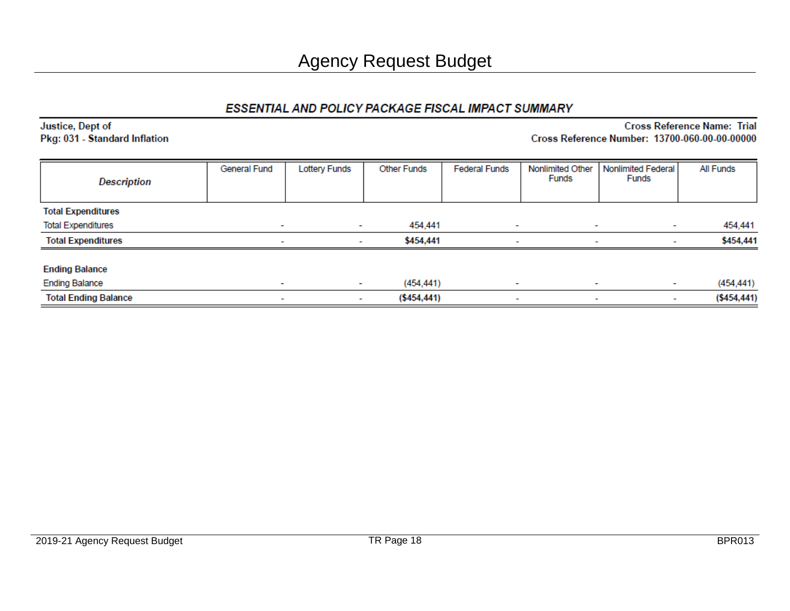Justice, Dept of Pkg: 031 - Standard Inflation

| <b>Description</b>          | General Fund             | <b>Lottery Funds</b>     | <b>Other Funds</b> | <b>Federal Funds</b>     | Nonlimited Other<br>Funds | <b>Nonlimited Federal</b><br>Funds | All Funds     |
|-----------------------------|--------------------------|--------------------------|--------------------|--------------------------|---------------------------|------------------------------------|---------------|
| <b>Total Expenditures</b>   |                          |                          |                    |                          |                           |                                    |               |
| <b>Total Expenditures</b>   | $\overline{\phantom{a}}$ | $\sim$                   | 454,441            | $\overline{\phantom{a}}$ | $\overline{\phantom{a}}$  | $\sim$                             | 454,441       |
| <b>Total Expenditures</b>   | -                        | $\overline{\phantom{a}}$ | \$454,441          | $\overline{\phantom{a}}$ | $\overline{\phantom{a}}$  |                                    | \$454,441     |
| <b>Ending Balance</b>       |                          |                          |                    |                          |                           |                                    |               |
| <b>Ending Balance</b>       | $\overline{\phantom{a}}$ |                          | (454, 441)         | $\overline{\phantom{a}}$ | $\overline{\phantom{a}}$  | ٠                                  | (454, 441)    |
| <b>Total Ending Balance</b> | $\overline{\phantom{a}}$ | $\overline{\phantom{a}}$ | ( \$454, 441)      | $\sim$                   | $\overline{\phantom{a}}$  | ٠                                  | ( \$454, 441) |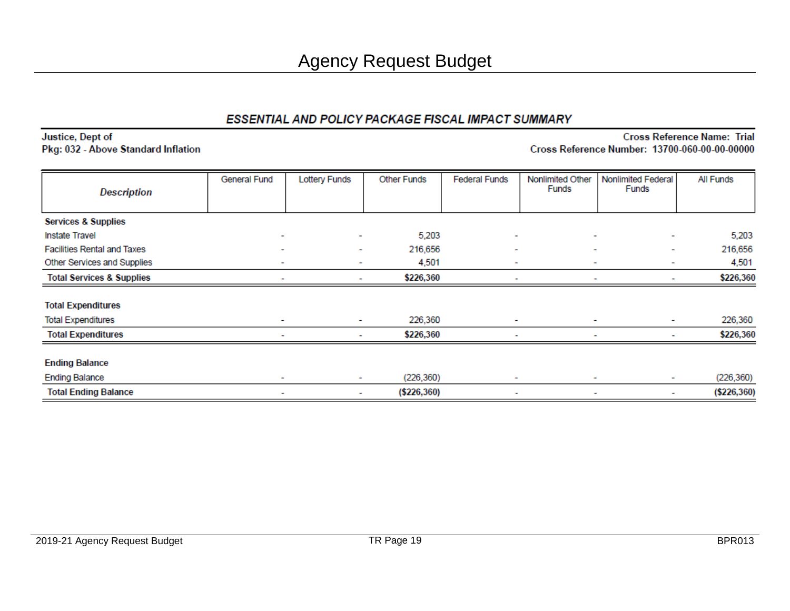#### Justice, Dept of Pkg: 032 - Above Standard Inflation

| <b>Description</b>                   | <b>General Fund</b>      | <b>Lottery Funds</b> | <b>Other Funds</b> | <b>Federal Funds</b>     | Nonlimited Other<br><b>Funds</b> | Nonlimited Federal<br>Funds   | All Funds     |
|--------------------------------------|--------------------------|----------------------|--------------------|--------------------------|----------------------------------|-------------------------------|---------------|
|                                      |                          |                      |                    |                          |                                  |                               |               |
| <b>Services &amp; Supplies</b>       |                          |                      |                    |                          |                                  |                               |               |
| <b>Instate Travel</b>                |                          | ۰                    | 5,203              | ٠                        |                                  | ۰<br>$\overline{\phantom{a}}$ | 5,203         |
| <b>Facilities Rental and Taxes</b>   | ٠                        | ۰                    | 216,656            | ٠                        | ۰                                | $\overline{\phantom{a}}$      | 216,656       |
| Other Services and Supplies          |                          | ۰                    | 4,501              | ٠                        |                                  | ۰<br>$\overline{\phantom{a}}$ | 4,501         |
| <b>Total Services &amp; Supplies</b> |                          | ۰                    | \$226,360          |                          |                                  |                               | \$226,360     |
| <b>Total Expenditures</b>            |                          |                      |                    |                          |                                  |                               |               |
| <b>Total Expenditures</b>            | ۰                        | ٠                    | 226,360            | ۰                        | ۰                                | ۰                             | 226,360       |
| <b>Total Expenditures</b>            |                          | ۰                    | \$226,360          | $\overline{\phantom{a}}$ |                                  | ۰<br>$\overline{\phantom{a}}$ | \$226,360     |
| <b>Ending Balance</b>                |                          |                      |                    |                          |                                  |                               |               |
| <b>Ending Balance</b>                |                          | $\sim$               | (226, 360)         | $\blacksquare$           |                                  | ٠                             | (226, 360)    |
| <b>Total Ending Balance</b>          | $\overline{\phantom{a}}$ | ٠                    | ( \$226, 360)      | $\overline{\phantom{a}}$ |                                  | ۰<br>$\overline{\phantom{a}}$ | ( \$226, 360) |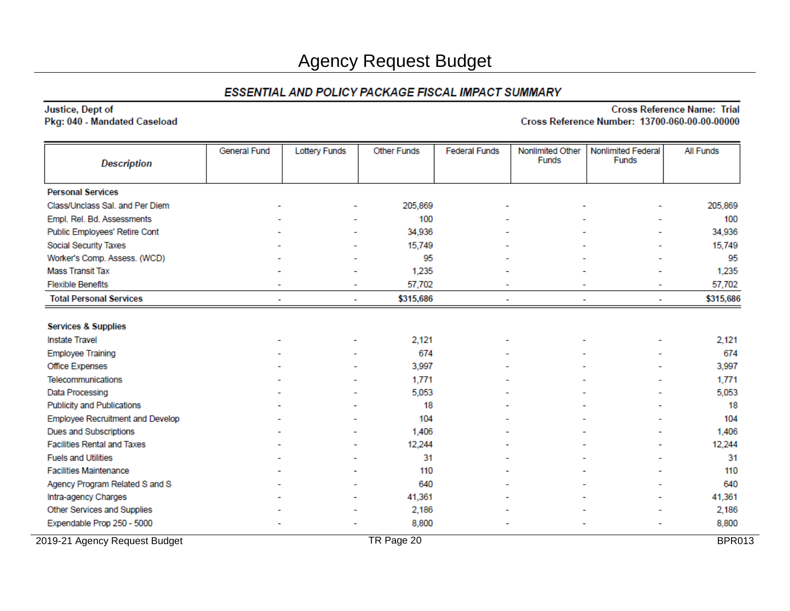#### Justice, Dept of Pkg: 040 - Mandated Caseload

| <b>Description</b>                 | General Fund | <b>Lottery Funds</b> | <b>Other Funds</b> | <b>Federal Funds</b> | Nonlimited Other<br><b>Funds</b> | Nonlimited Federal<br>Funds                          | All Funds     |
|------------------------------------|--------------|----------------------|--------------------|----------------------|----------------------------------|------------------------------------------------------|---------------|
| <b>Personal Services</b>           |              |                      |                    |                      |                                  |                                                      |               |
| Class/Unclass Sal. and Per Diem    |              |                      | 205,869            |                      |                                  |                                                      | 205,869       |
| Empl. Rel. Bd. Assessments         |              |                      | 100                |                      |                                  |                                                      | 100           |
| Public Employees' Retire Cont      |              |                      | 34,936             |                      |                                  |                                                      | 34,936        |
| Social Security Taxes              |              |                      | 15,749             |                      |                                  |                                                      | 15,749        |
| Worker's Comp. Assess. (WCD)       |              |                      | 95                 |                      |                                  |                                                      | 95            |
| <b>Mass Transit Tax</b>            |              |                      | 1,235              |                      |                                  |                                                      | 1,235         |
| <b>Flexible Benefits</b>           |              | ٠                    | 57,702             |                      |                                  | $\overline{\phantom{0}}$<br>$\overline{\phantom{0}}$ | 57,702        |
| <b>Total Personal Services</b>     |              |                      | \$315,686          |                      |                                  |                                                      | \$315,686     |
|                                    |              |                      |                    |                      |                                  |                                                      |               |
| <b>Services &amp; Supplies</b>     |              |                      |                    |                      |                                  |                                                      |               |
| <b>Instate Travel</b>              |              |                      | 2,121              |                      |                                  |                                                      | 2,121         |
| <b>Employee Training</b>           |              |                      | 674                |                      |                                  |                                                      | 674           |
| Office Expenses                    |              |                      | 3,997              |                      |                                  |                                                      | 3,997         |
| Telecommunications                 |              |                      | 1,771              |                      |                                  |                                                      | 1,771         |
| Data Processing                    |              |                      | 5,053              |                      |                                  |                                                      | 5,053         |
| <b>Publicity and Publications</b>  |              |                      | 18                 |                      |                                  |                                                      | 18            |
| Employee Recruitment and Develop   |              |                      | 104                |                      |                                  |                                                      | 104           |
| <b>Dues and Subscriptions</b>      |              |                      | 1,406              |                      |                                  |                                                      | 1,406         |
| <b>Facilities Rental and Taxes</b> |              |                      | 12,244             |                      |                                  |                                                      | 12,244        |
| <b>Fuels and Utilities</b>         |              |                      | 31                 |                      |                                  |                                                      | 31            |
| <b>Facilities Maintenance</b>      |              |                      | 110                |                      |                                  |                                                      | 110           |
| Agency Program Related S and S     |              |                      | 640                |                      |                                  |                                                      | 640           |
| Intra-agency Charges               |              |                      | 41,361             |                      |                                  |                                                      | 41,361        |
| Other Services and Supplies        |              |                      | 2,186              |                      |                                  |                                                      | 2,186         |
| Expendable Prop 250 - 5000         |              |                      | 8,800              |                      |                                  |                                                      | 8,800         |
| 2019-21 Agency Request Budget      |              |                      | TR Page 20         |                      |                                  |                                                      | <b>BPR013</b> |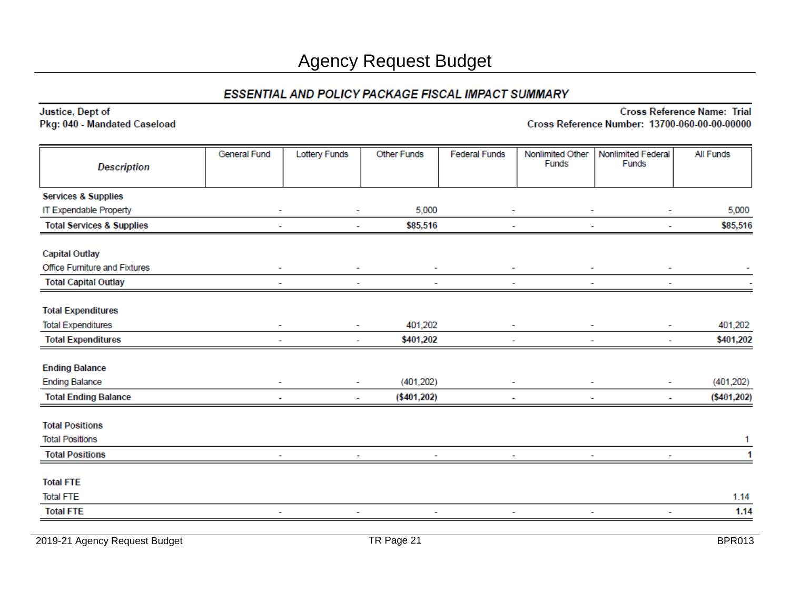| Justice, Dept of<br>Pkg: 040 - Mandated Caseload                                      |              |                      |                    |                      |                           | Cross Reference Number: 13700-060-00-00-00000 | <b>Cross Reference Name: Trial</b> |
|---------------------------------------------------------------------------------------|--------------|----------------------|--------------------|----------------------|---------------------------|-----------------------------------------------|------------------------------------|
| <b>Description</b>                                                                    | General Fund | <b>Lottery Funds</b> | <b>Other Funds</b> | <b>Federal Funds</b> | Nonlimited Other<br>Funds | Nonlimited Federal<br>Funds                   | All Funds                          |
| <b>Services &amp; Supplies</b>                                                        |              |                      |                    |                      |                           |                                               |                                    |
| IT Expendable Property                                                                |              |                      | 5,000              |                      |                           |                                               | 5,000                              |
| <b>Total Services &amp; Supplies</b>                                                  |              |                      | \$85,516           |                      |                           |                                               | \$85,516                           |
| <b>Capital Outlay</b><br>Office Furniture and Fixtures<br><b>Total Capital Outlay</b> |              |                      |                    |                      |                           |                                               |                                    |
| <b>Total Expenditures</b><br><b>Total Expenditures</b>                                |              |                      | 401,202            |                      |                           |                                               | 401,202                            |
| <b>Total Expenditures</b>                                                             |              | ۰                    | \$401,202          |                      |                           |                                               | \$401,202                          |
| <b>Ending Balance</b><br><b>Ending Balance</b>                                        |              |                      | (401, 202)         |                      |                           |                                               | (401, 202)                         |
| <b>Total Ending Balance</b>                                                           |              |                      | (\$401,202)        |                      |                           |                                               | ( \$401, 202)                      |
| <b>Total Positions</b><br><b>Total Positions</b>                                      |              |                      |                    |                      |                           |                                               | 1                                  |
| <b>Total Positions</b>                                                                |              |                      |                    |                      |                           |                                               |                                    |
| <b>Total FTE</b><br><b>Total FTE</b>                                                  |              |                      |                    |                      |                           |                                               | 1.14                               |
| <b>Total FTE</b>                                                                      |              |                      |                    |                      |                           |                                               | 1.14                               |
|                                                                                       |              |                      |                    |                      |                           |                                               |                                    |

2019-21 Agency Request Budget **TR Page 21** BPR013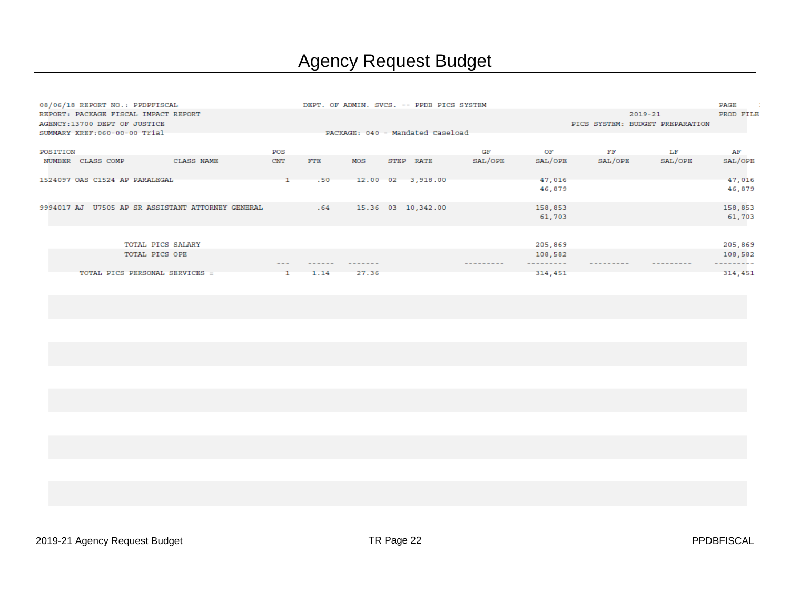|            | 08/06/18 REPORT NO.: PPDPFISCAL      |                                        |            |            |       |      | DEPT. OF ADMIN. SVCS. -- PPDB PICS SYSTEM |         |         |         |                                 | PAGE      |
|------------|--------------------------------------|----------------------------------------|------------|------------|-------|------|-------------------------------------------|---------|---------|---------|---------------------------------|-----------|
|            | REPORT: PACKAGE FISCAL IMPACT REPORT |                                        |            |            |       |      |                                           |         |         |         | $2019 - 21$                     | PROD FILE |
|            | AGENCY: 13700 DEPT OF JUSTICE        |                                        |            |            |       |      |                                           |         |         |         | PICS SYSTEM: BUDGET PREPARATION |           |
|            | SUMMARY XREF: 060-00-00 Trial        |                                        |            |            |       |      | PACKAGE: 040 - Mandated Caseload          |         |         |         |                                 |           |
| POSITION   |                                      |                                        | POS        |            |       |      |                                           | GF      | ОF      | FF      | LF                              | AF        |
| NUMBER     | CLASS COMP                           | CLASS NAME                             | <b>CNT</b> | <b>FTE</b> | MOS   | STEP | RATE                                      | SAL/OPE | SAL/OPE | SAL/OPE | SAL/OPE                         | SAL/OPE   |
|            | 1524097 OAS C1524 AP PARALEGAL       |                                        |            | .50        |       |      | 12.00 02 3,918.00                         |         | 47,016  |         |                                 | 47,016    |
|            |                                      |                                        |            |            |       |      |                                           |         | 46,879  |         |                                 | 46,879    |
| 9994017 AJ |                                      | U7505 AP SR ASSISTANT ATTORNEY GENERAL |            | .64        |       |      | 15.36 03 10,342.00                        |         | 158,853 |         |                                 | 158,853   |
|            |                                      |                                        |            |            |       |      |                                           |         | 61,703  |         |                                 | 61,703    |
|            |                                      |                                        |            |            |       |      |                                           |         |         |         |                                 |           |
|            | TOTAL PICS SALARY                    |                                        |            |            |       |      |                                           |         | 205,869 |         |                                 | 205,869   |
|            | TOTAL PICS OPE                       |                                        |            |            |       |      |                                           |         | 108,582 |         |                                 | 108,582   |
|            |                                      |                                        |            |            |       |      |                                           |         |         |         |                                 |           |
|            | TOTAL PICS PERSONAL SERVICES =       |                                        |            | 1.14       | 27.36 |      |                                           |         | 314,451 |         |                                 | 314,451   |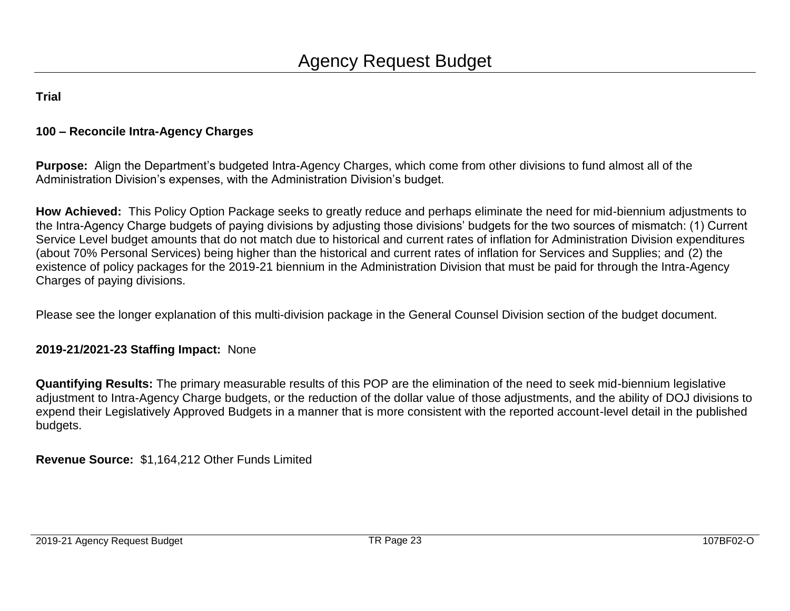#### **100 – Reconcile Intra-Agency Charges**

**Purpose:** Align the Department's budgeted Intra-Agency Charges, which come from other divisions to fund almost all of the Administration Division's expenses, with the Administration Division's budget.

**How Achieved:** This Policy Option Package seeks to greatly reduce and perhaps eliminate the need for mid-biennium adjustments to the Intra-Agency Charge budgets of paying divisions by adjusting those divisions' budgets for the two sources of mismatch: (1) Current Service Level budget amounts that do not match due to historical and current rates of inflation for Administration Division expenditures (about 70% Personal Services) being higher than the historical and current rates of inflation for Services and Supplies; and (2) the existence of policy packages for the 2019-21 biennium in the Administration Division that must be paid for through the Intra-Agency Charges of paying divisions.

Please see the longer explanation of this multi-division package in the General Counsel Division section of the budget document.

#### **2019-21/2021-23 Staffing Impact:** None

**Quantifying Results:** The primary measurable results of this POP are the elimination of the need to seek mid-biennium legislative adjustment to Intra-Agency Charge budgets, or the reduction of the dollar value of those adjustments, and the ability of DOJ divisions to expend their Legislatively Approved Budgets in a manner that is more consistent with the reported account-level detail in the published budgets.

**Revenue Source:** \$1,164,212 Other Funds Limited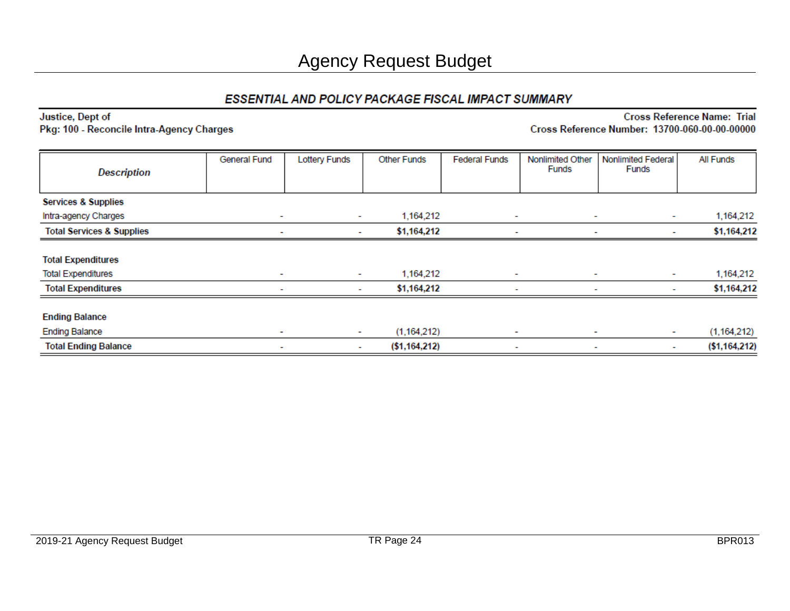| <b>Description</b>                   | General Fund             | <b>Lottery Funds</b> | <b>Other Funds</b> | <b>Federal Funds</b> | Nonlimited Other<br>Funds | Nonlimited Federal<br>Funds | All Funds      |
|--------------------------------------|--------------------------|----------------------|--------------------|----------------------|---------------------------|-----------------------------|----------------|
| <b>Services &amp; Supplies</b>       |                          |                      |                    |                      |                           |                             |                |
| Intra-agency Charges                 | ٠                        | $\sim$               | 1,164,212          | ٠                    | $\overline{\phantom{a}}$  |                             | 1,164,212      |
| <b>Total Services &amp; Supplies</b> |                          | ٠                    | \$1,164,212        |                      |                           |                             | \$1,164,212    |
| <b>Total Expenditures</b>            |                          |                      |                    |                      |                           |                             |                |
| <b>Total Expenditures</b>            | ٠                        |                      | 1,164,212          | ٠                    | ٠                         | $\sim$                      | 1,164,212      |
| <b>Total Expenditures</b>            |                          | ۰                    | \$1,164,212        |                      |                           | ۰.                          | \$1,164,212    |
| <b>Ending Balance</b>                |                          |                      |                    |                      |                           |                             |                |
| <b>Ending Balance</b>                | $\overline{\phantom{a}}$ | $\sim$               | (1, 164, 212)      | ٠                    | $\overline{\phantom{a}}$  | $\sim$                      | (1, 164, 212)  |
| <b>Total Ending Balance</b>          | ۰                        | ٠                    | ( \$1,164,212)     | ٠                    | ٠                         | ٠                           | ( \$1,164,212) |

#### Justice, Dept of Pkg: 100 - Reconcile Intra-Agency Charges

**Cross Reference Name: Trial** 

Cross Reference Number: 13700-060-00-00-00000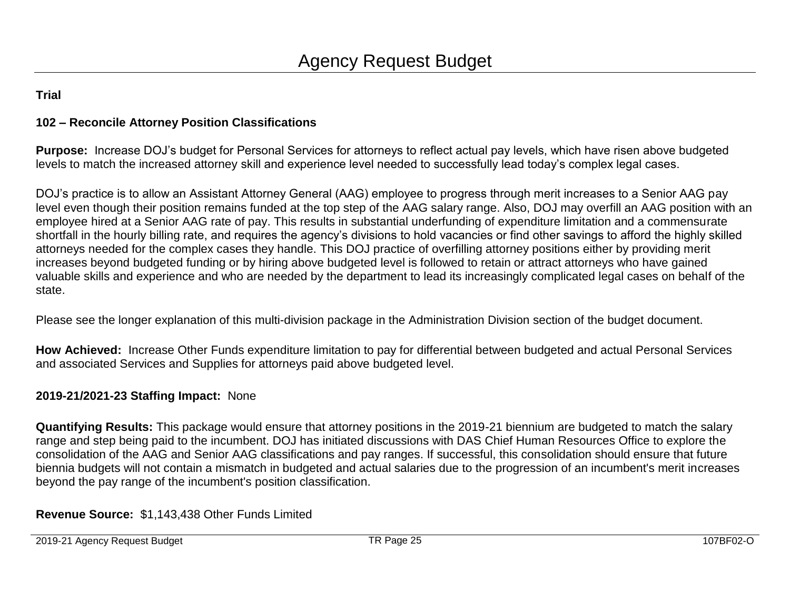#### **102 – Reconcile Attorney Position Classifications**

**Purpose:** Increase DOJ's budget for Personal Services for attorneys to reflect actual pay levels, which have risen above budgeted levels to match the increased attorney skill and experience level needed to successfully lead today's complex legal cases.

DOJ's practice is to allow an Assistant Attorney General (AAG) employee to progress through merit increases to a Senior AAG pay level even though their position remains funded at the top step of the AAG salary range. Also, DOJ may overfill an AAG position with an employee hired at a Senior AAG rate of pay. This results in substantial underfunding of expenditure limitation and a commensurate shortfall in the hourly billing rate, and requires the agency's divisions to hold vacancies or find other savings to afford the highly skilled attorneys needed for the complex cases they handle. This DOJ practice of overfilling attorney positions either by providing merit increases beyond budgeted funding or by hiring above budgeted level is followed to retain or attract attorneys who have gained valuable skills and experience and who are needed by the department to lead its increasingly complicated legal cases on behalf of the state.

Please see the longer explanation of this multi-division package in the Administration Division section of the budget document.

**How Achieved:** Increase Other Funds expenditure limitation to pay for differential between budgeted and actual Personal Services and associated Services and Supplies for attorneys paid above budgeted level.

#### **2019-21/2021-23 Staffing Impact:** None

**Quantifying Results:** This package would ensure that attorney positions in the 2019-21 biennium are budgeted to match the salary range and step being paid to the incumbent. DOJ has initiated discussions with DAS Chief Human Resources Office to explore the consolidation of the AAG and Senior AAG classifications and pay ranges. If successful, this consolidation should ensure that future biennia budgets will not contain a mismatch in budgeted and actual salaries due to the progression of an incumbent's merit increases beyond the pay range of the incumbent's position classification.

**Revenue Source:** \$1,143,438 Other Funds Limited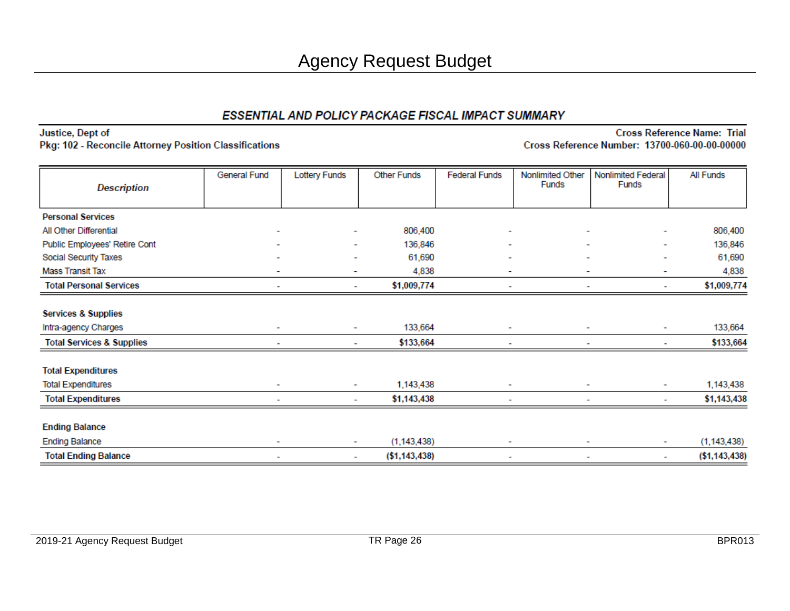Justice, Dept of Pkg: 102 - Reconcile Attorney Position Classifications

| <b>Description</b>                   | General Fund | <b>Lottery Funds</b>     | <b>Other Funds</b> | <b>Federal Funds</b>     | Nonlimited Other<br><b>Funds</b> | Nonlimited Federal<br>Funds | All Funds      |
|--------------------------------------|--------------|--------------------------|--------------------|--------------------------|----------------------------------|-----------------------------|----------------|
|                                      |              |                          |                    |                          |                                  |                             |                |
| <b>Personal Services</b>             |              |                          |                    |                          |                                  |                             |                |
| All Other Differential               | ۰            | ٠                        | 806,400            | $\overline{\phantom{a}}$ | $\overline{\phantom{0}}$         | ۰                           | 806,400        |
| Public Employees' Retire Cont        |              | ۰                        | 136,846            | ٠                        | ۰                                | ۰                           | 136,846        |
| Social Security Taxes                |              | ۰                        | 61,690             |                          |                                  | ۰                           | 61,690         |
| <b>Mass Transit Tax</b>              | ٠            | $\overline{\phantom{a}}$ | 4,838              | $\overline{\phantom{0}}$ | $\overline{\phantom{a}}$         | ٠                           | 4,838          |
| <b>Total Personal Services</b>       |              | ٠                        | \$1,009,774        |                          |                                  | ۰                           | \$1,009,774    |
| <b>Services &amp; Supplies</b>       |              |                          |                    |                          |                                  |                             |                |
| Intra-agency Charges                 | ٠            | ٠                        | 133,664            | ٠                        | ۰                                | ۰                           | 133,664        |
| <b>Total Services &amp; Supplies</b> |              | ٠                        | \$133,664          |                          | ٠                                | ٠                           | \$133,664      |
| <b>Total Expenditures</b>            |              |                          |                    |                          |                                  |                             |                |
| <b>Total Expenditures</b>            | ۰            | ٠                        | 1,143,438          |                          |                                  | ۰                           | 1,143,438      |
| <b>Total Expenditures</b>            |              | ۰                        | \$1,143,438        |                          |                                  | ۰                           | \$1,143,438    |
| <b>Ending Balance</b>                |              |                          |                    |                          |                                  |                             |                |
| <b>Ending Balance</b>                | ٠            | ٠                        | (1, 143, 438)      | ٠                        |                                  | ٠                           | (1, 143, 438)  |
| <b>Total Ending Balance</b>          | ٠            | ٠                        | ( \$1,143,438)     | $\overline{\phantom{a}}$ |                                  | ۰                           | ( \$1,143,438) |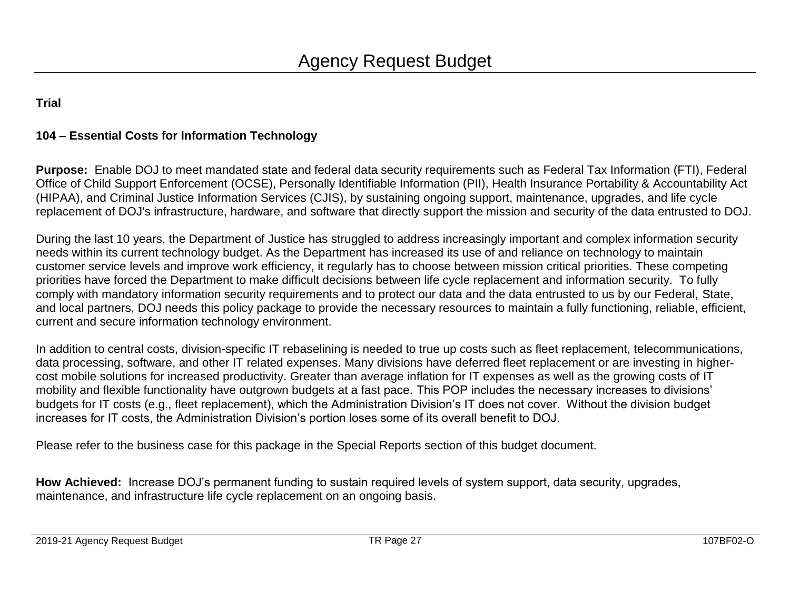#### **104 – Essential Costs for Information Technology**

**Purpose:** Enable DOJ to meet mandated state and federal data security requirements such as Federal Tax Information (FTI), Federal Office of Child Support Enforcement (OCSE), Personally Identifiable Information (PII), Health Insurance Portability & Accountability Act (HIPAA), and Criminal Justice Information Services (CJIS), by sustaining ongoing support, maintenance, upgrades, and life cycle replacement of DOJ's infrastructure, hardware, and software that directly support the mission and security of the data entrusted to DOJ.

During the last 10 years, the Department of Justice has struggled to address increasingly important and complex information security needs within its current technology budget. As the Department has increased its use of and reliance on technology to maintain customer service levels and improve work efficiency, it regularly has to choose between mission critical priorities. These competing priorities have forced the Department to make difficult decisions between life cycle replacement and information security. To fully comply with mandatory information security requirements and to protect our data and the data entrusted to us by our Federal, State, and local partners, DOJ needs this policy package to provide the necessary resources to maintain a fully functioning, reliable, efficient, current and secure information technology environment.

In addition to central costs, division-specific IT rebaselining is needed to true up costs such as fleet replacement, telecommunications, data processing, software, and other IT related expenses. Many divisions have deferred fleet replacement or are investing in highercost mobile solutions for increased productivity. Greater than average inflation for IT expenses as well as the growing costs of IT mobility and flexible functionality have outgrown budgets at a fast pace. This POP includes the necessary increases to divisions' budgets for IT costs (e.g., fleet replacement), which the Administration Division's IT does not cover. Without the division budget increases for IT costs, the Administration Division's portion loses some of its overall benefit to DOJ.

Please refer to the business case for this package in the Special Reports section of this budget document.

**How Achieved:** Increase DOJ's permanent funding to sustain required levels of system support, data security, upgrades, maintenance, and infrastructure life cycle replacement on an ongoing basis.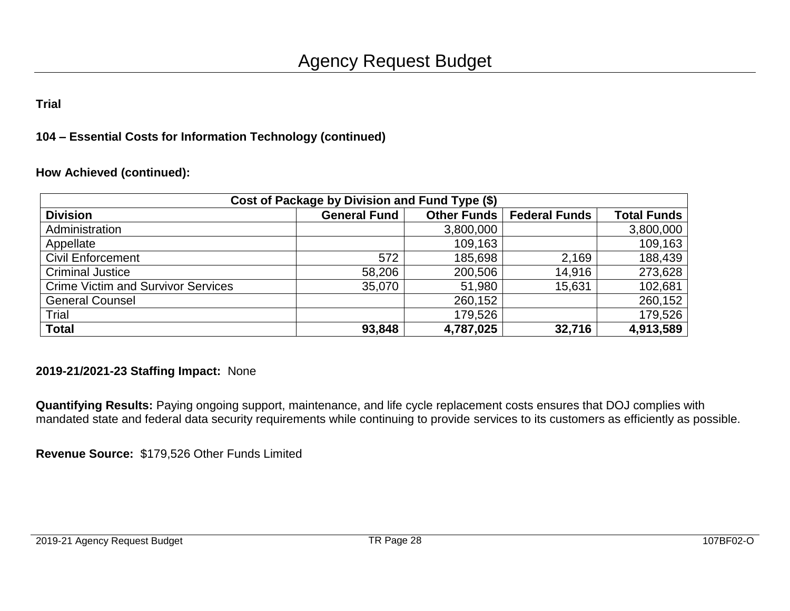#### **104 – Essential Costs for Information Technology (continued)**

#### **How Achieved (continued):**

| Cost of Package by Division and Fund Type (\$) |                     |             |                      |                    |  |  |  |  |  |  |
|------------------------------------------------|---------------------|-------------|----------------------|--------------------|--|--|--|--|--|--|
| <b>Division</b>                                | <b>General Fund</b> | Other Funds | <b>Federal Funds</b> | <b>Total Funds</b> |  |  |  |  |  |  |
| Administration                                 |                     | 3,800,000   |                      | 3,800,000          |  |  |  |  |  |  |
| Appellate                                      |                     | 109,163     |                      | 109,163            |  |  |  |  |  |  |
| <b>Civil Enforcement</b>                       | 572                 | 185,698     | 2,169                | 188,439            |  |  |  |  |  |  |
| <b>Criminal Justice</b>                        | 58,206              | 200,506     | 14,916               | 273,628            |  |  |  |  |  |  |
| <b>Crime Victim and Survivor Services</b>      | 35,070              | 51,980      | 15,631               | 102,681            |  |  |  |  |  |  |
| <b>General Counsel</b>                         |                     | 260,152     |                      | 260,152            |  |  |  |  |  |  |
| Trial                                          |                     | 179,526     |                      | 179,526            |  |  |  |  |  |  |
| <b>Total</b>                                   | 93,848              | 4,787,025   | 32,716               | 4,913,589          |  |  |  |  |  |  |

#### **2019-21/2021-23 Staffing Impact:** None

**Quantifying Results:** Paying ongoing support, maintenance, and life cycle replacement costs ensures that DOJ complies with mandated state and federal data security requirements while continuing to provide services to its customers as efficiently as possible.

**Revenue Source:** \$179,526 Other Funds Limited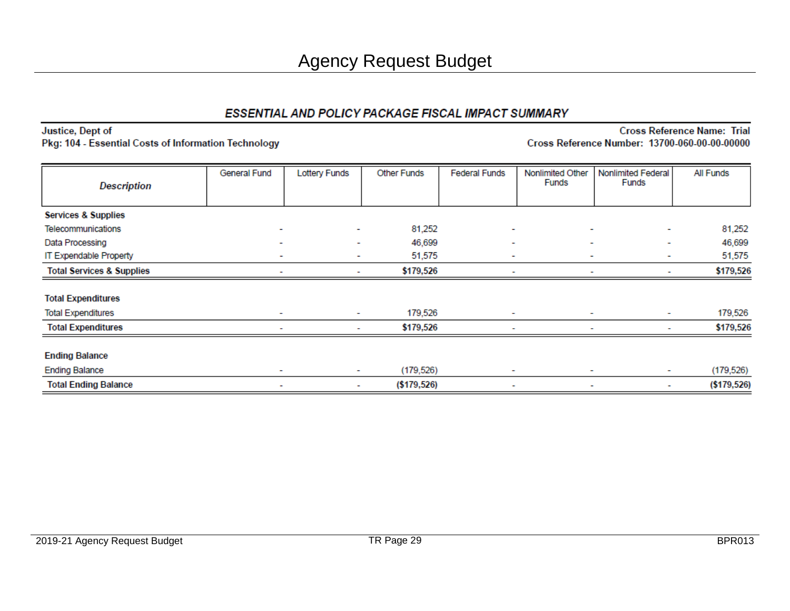| Justice, Dept of                                     |  |
|------------------------------------------------------|--|
| Pkg: 104 - Essential Costs of Information Technology |  |

| <b>Description</b>                   | General Fund             | <b>Lottery Funds</b> | <b>Other Funds</b> | <b>Federal Funds</b>     | Nonlimited Other<br><b>Funds</b> | Nonlimited Federal<br>Funds | All Funds     |
|--------------------------------------|--------------------------|----------------------|--------------------|--------------------------|----------------------------------|-----------------------------|---------------|
|                                      |                          |                      |                    |                          |                                  |                             |               |
| <b>Services &amp; Supplies</b>       |                          |                      |                    |                          |                                  |                             |               |
| Telecommunications                   | ٠                        | $\sim$               | 81,252             | $\overline{\phantom{a}}$ | ۰                                | ۰                           | 81,252        |
| Data Processing                      | ٠                        | $\sim$               | 46,699             | ٠                        |                                  | $\sim$<br>٠                 | 46,699        |
| IT Expendable Property               | $\overline{\phantom{a}}$ | ٠                    | 51,575             | ٠                        | ٠                                | ٠                           | 51,575        |
| <b>Total Services &amp; Supplies</b> |                          | ٠                    | \$179,526          | ٠                        |                                  | ۰                           | \$179,526     |
| <b>Total Expenditures</b>            |                          |                      |                    |                          |                                  |                             |               |
| <b>Total Expenditures</b>            | ٠                        | ٠                    | 179,526            | ٠                        | ٠                                | ٠                           | 179,526       |
| <b>Total Expenditures</b>            | ۰                        | ٠                    | \$179,526          | ٠                        | ۰                                | ٠                           | \$179,526     |
| <b>Ending Balance</b>                |                          |                      |                    |                          |                                  |                             |               |
| <b>Ending Balance</b>                | ۰                        |                      | (179, 526)         | $\overline{\phantom{a}}$ | $\overline{\phantom{a}}$         | ٠                           | (179, 526)    |
| <b>Total Ending Balance</b>          | $\overline{\phantom{0}}$ | $\sim$               | ( \$179, 526)      | $\overline{\phantom{a}}$ | ۰                                | ٠                           | ( \$179, 526) |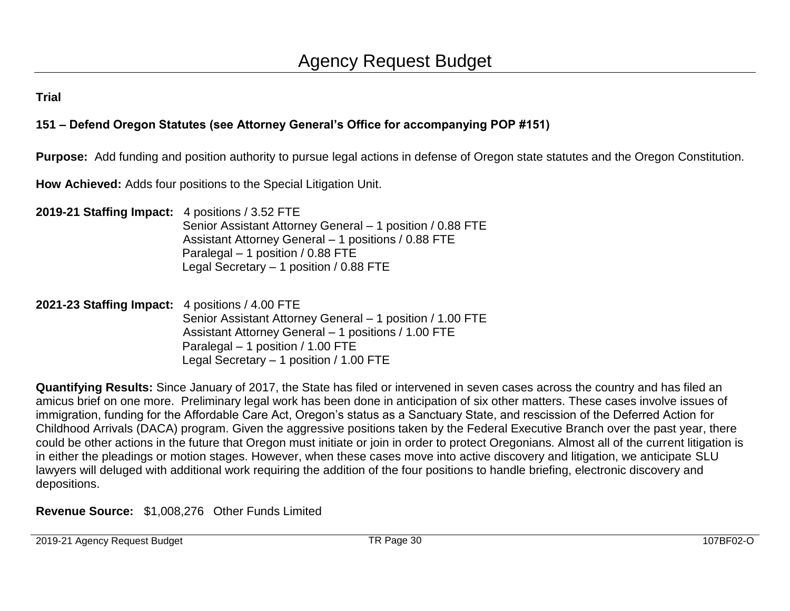### **151 – Defend Oregon Statutes (see Attorney General's Office for accompanying POP #151)**

**Purpose:** Add funding and position authority to pursue legal actions in defense of Oregon state statutes and the Oregon Constitution.

**How Achieved:** Adds four positions to the Special Litigation Unit.

**2019-21 Staffing Impact:** 4 positions / 3.52 FTE Senior Assistant Attorney General – 1 position / 0.88 FTE Assistant Attorney General – 1 positions / 0.88 FTE Paralegal – 1 position / 0.88 FTE Legal Secretary – 1 position / 0.88 FTE

**2021-23 Staffing Impact:** 4 positions / 4.00 FTE Senior Assistant Attorney General – 1 position / 1.00 FTE Assistant Attorney General – 1 positions / 1.00 FTE Paralegal – 1 position / 1.00 FTE Legal Secretary – 1 position / 1.00 FTE

**Quantifying Results:** Since January of 2017, the State has filed or intervened in seven cases across the country and has filed an amicus brief on one more. Preliminary legal work has been done in anticipation of six other matters. These cases involve issues of immigration, funding for the Affordable Care Act, Oregon's status as a Sanctuary State, and rescission of the Deferred Action for Childhood Arrivals (DACA) program. Given the aggressive positions taken by the Federal Executive Branch over the past year, there could be other actions in the future that Oregon must initiate or join in order to protect Oregonians. Almost all of the current litigation is in either the pleadings or motion stages. However, when these cases move into active discovery and litigation, we anticipate SLU lawyers will deluged with additional work requiring the addition of the four positions to handle briefing, electronic discovery and depositions.

**Revenue Source:** \$1,008,276 Other Funds Limited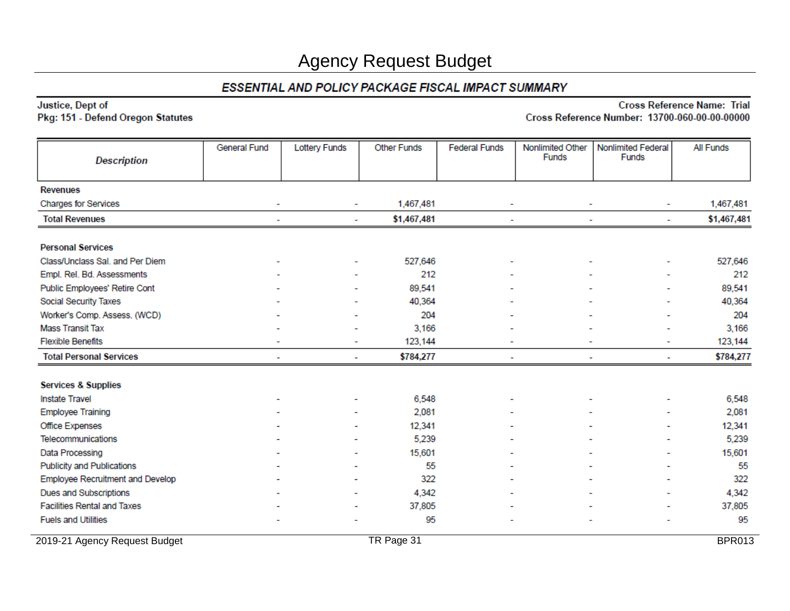#### ESSENTIAL AND POLICY PACKAGE FISCAL IMPACT SUMMARY

#### Justice, Dept of Pkg: 151 - Defend Oregon Statutes

| <b>Description</b>                 | <b>General Fund</b>      | <b>Lottery Funds</b> | <b>Other Funds</b> | <b>Federal Funds</b>     | Nonlimited Other<br><b>Funds</b> | Nonlimited Federal<br>Funds        | All Funds     |
|------------------------------------|--------------------------|----------------------|--------------------|--------------------------|----------------------------------|------------------------------------|---------------|
| <b>Revenues</b>                    |                          |                      |                    |                          |                                  |                                    |               |
| <b>Charges for Services</b>        | ۰                        | ۰                    | 1,467,481          | ۰                        | ۰                                | ٠                                  | 1,467,481     |
| <b>Total Revenues</b>              | ٠                        | ٠                    | \$1,467,481        | $\overline{\phantom{a}}$ |                                  | ٠<br>٠                             | \$1,467,481   |
| <b>Personal Services</b>           |                          |                      |                    |                          |                                  |                                    |               |
| Class/Unclass Sal. and Per Diem    |                          | ۰                    | 527,646            |                          |                                  | ۰                                  | 527,646       |
| Empl. Rel. Bd. Assessments         |                          |                      | 212                |                          |                                  |                                    | 212           |
| Public Employees' Retire Cont      |                          |                      | 89,541             |                          |                                  |                                    | 89,541        |
| Social Security Taxes              |                          |                      | 40,364             |                          |                                  |                                    | 40,364        |
| Worker's Comp. Assess. (WCD)       |                          |                      | 204                |                          |                                  |                                    | 204           |
| <b>Mass Transit Tax</b>            |                          |                      | 3,166              |                          |                                  |                                    | 3,166         |
| <b>Flexible Benefits</b>           |                          | ٠                    | 123,144            |                          |                                  | $\overline{\phantom{0}}$           | 123,144       |
| <b>Total Personal Services</b>     | $\overline{\phantom{a}}$ | ٠                    | \$784,277          | $\sim$                   |                                  | $\overline{\phantom{a}}$<br>$\sim$ | \$784,277     |
| <b>Services &amp; Supplies</b>     |                          |                      |                    |                          |                                  |                                    |               |
| <b>Instate Travel</b>              |                          |                      | 6,548              |                          |                                  |                                    | 6,548         |
| <b>Employee Training</b>           |                          |                      | 2,081              |                          |                                  |                                    | 2,081         |
| Office Expenses                    |                          |                      | 12,341             |                          |                                  | ۰                                  | 12,341        |
| Telecommunications                 |                          |                      | 5,239              |                          |                                  |                                    | 5,239         |
| Data Processing                    |                          |                      | 15,601             |                          |                                  |                                    | 15,601        |
| <b>Publicity and Publications</b>  |                          |                      | 55                 |                          |                                  | ۰                                  | 55            |
| Employee Recruitment and Develop   |                          |                      | 322                |                          |                                  | ۰                                  | 322           |
| <b>Dues and Subscriptions</b>      |                          |                      | 4,342              |                          |                                  |                                    | 4,342         |
| <b>Facilities Rental and Taxes</b> |                          |                      | 37,805             |                          |                                  |                                    | 37,805        |
| <b>Fuels and Utilities</b>         |                          |                      | 95                 |                          |                                  |                                    | 95            |
| 2019-21 Agency Request Budget      |                          |                      | TR Page 31         |                          |                                  |                                    | <b>BPR013</b> |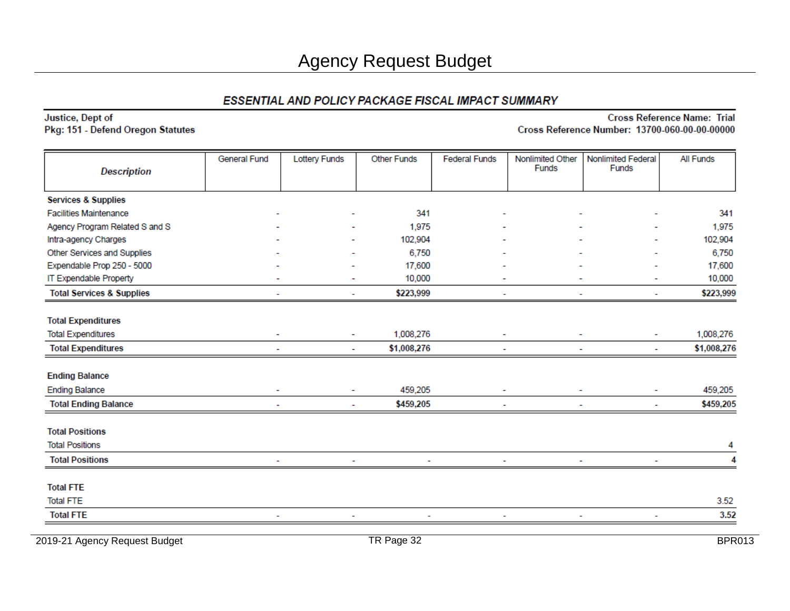#### Justice, Dept of Pkg: 151 - Defend Oregon Statutes

#### **Cross Reference Name: Trial** Cross Reference Number: 13700-060-00-00-00000

| <b>Description</b>                   | <b>General Fund</b> | <b>Lottery Funds</b> | <b>Other Funds</b> | <b>Federal Funds</b> | Nonlimited Other<br><b>Funds</b> | Nonlimited Federal<br><b>Funds</b> | All Funds   |
|--------------------------------------|---------------------|----------------------|--------------------|----------------------|----------------------------------|------------------------------------|-------------|
| <b>Services &amp; Supplies</b>       |                     |                      |                    |                      |                                  |                                    |             |
| <b>Facilities Maintenance</b>        |                     |                      | 341                |                      |                                  |                                    | 341         |
| Agency Program Related S and S       |                     |                      | 1,975              |                      |                                  |                                    | 1,975       |
| Intra-agency Charges                 |                     |                      | 102,904            |                      |                                  |                                    | 102,904     |
| Other Services and Supplies          |                     |                      | 6,750              |                      |                                  |                                    | 6,750       |
| Expendable Prop 250 - 5000           |                     |                      | 17,600             |                      |                                  |                                    | 17,600      |
| IT Expendable Property               |                     |                      | 10,000             |                      |                                  |                                    | 10,000      |
| <b>Total Services &amp; Supplies</b> |                     | ٠                    | \$223,999          | ۰                    | ٠                                | ٠                                  | \$223,999   |
| <b>Total Expenditures</b>            |                     |                      |                    |                      |                                  |                                    |             |
| <b>Total Expenditures</b>            | ۰                   | ۰                    | 1,008,276          | ۰                    |                                  |                                    | 1,008,276   |
| <b>Total Expenditures</b>            |                     | ٠                    | \$1,008,276        |                      |                                  | ۰                                  | \$1,008,276 |
| <b>Ending Balance</b>                |                     |                      |                    |                      |                                  |                                    |             |
| <b>Ending Balance</b>                |                     | ۰                    | 459,205            |                      |                                  |                                    | 459,205     |
| <b>Total Ending Balance</b>          |                     |                      | \$459,205          |                      |                                  |                                    | \$459,205   |
| <b>Total Positions</b>               |                     |                      |                    |                      |                                  |                                    |             |
| <b>Total Positions</b>               |                     |                      |                    |                      |                                  |                                    | 4           |
| <b>Total Positions</b>               |                     |                      |                    |                      |                                  |                                    |             |
| <b>Total FTE</b>                     |                     |                      |                    |                      |                                  |                                    |             |
| <b>Total FTE</b>                     |                     |                      |                    |                      |                                  |                                    | 3.52        |
| <b>Total FTE</b>                     |                     |                      |                    |                      |                                  |                                    | 3.52        |

2019-21 Agency Request Budget **TR Page 32** BPR013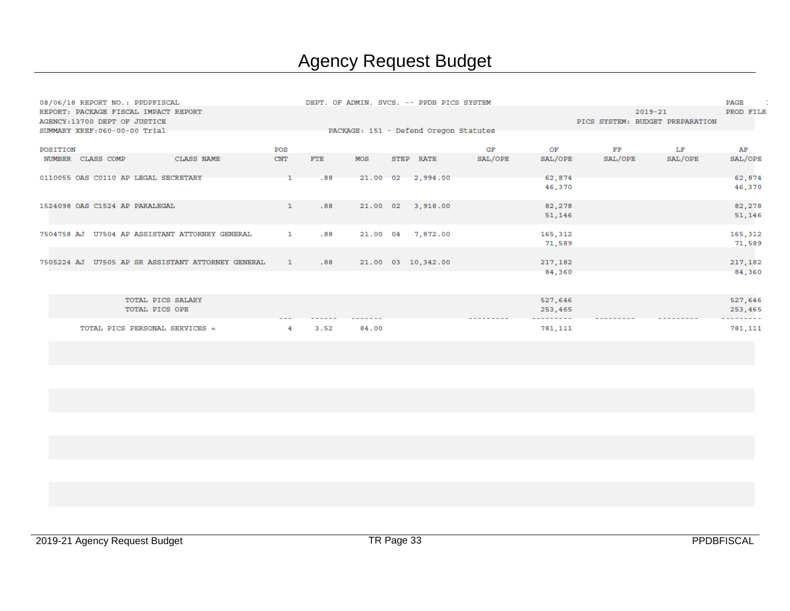|          |                               | 08/06/18 REPORT NO.: PPDPFISCAL                   |              |            |       |      | DEPT. OF ADMIN. SVCS. -- PPDB PICS SYSTEM |           |                    |         |                                                | PAGE               |
|----------|-------------------------------|---------------------------------------------------|--------------|------------|-------|------|-------------------------------------------|-----------|--------------------|---------|------------------------------------------------|--------------------|
|          | AGENCY: 13700 DEPT OF JUSTICE | REPORT: PACKAGE FISCAL IMPACT REPORT              |              |            |       |      |                                           |           |                    |         | $2019 - 21$<br>PICS SYSTEM: BUDGET PREPARATION | PROD FILE          |
|          | SUMMARY XREF: 060-00-00 Trial |                                                   |              |            |       |      | PACKAGE: 151 - Defend Oregon Statutes     |           |                    |         |                                                |                    |
| POSITION |                               |                                                   | POS          |            |       |      |                                           | GF        | ОF                 | FF      | LF                                             | AF                 |
|          | NUMBER CLASS COMP             | <b>CLASS NAME</b>                                 | <b>CNT</b>   | <b>FTE</b> | MOS   | STEP | <b>RATE</b>                               | SAL/OPE   | SAL/OPE            | SAL/OPE | SAL/OPE                                        | SAL/OPE            |
|          |                               | 0110055 OAS C0110 AP LEGAL SECRETARY              |              | .88        |       |      | 21.00 02 2.994.00                         |           | 62,874<br>46,370   |         |                                                | 62,874<br>46,370   |
|          |                               | 1524098 OAS C1524 AP PARALEGAL                    | $\mathbf{1}$ | .88        |       |      | 21.00 02 3,918.00                         |           | 82,278<br>51,146   |         |                                                | 82,278<br>51,146   |
|          |                               | 7504758 AJ U7504 AP ASSISTANT ATTORNEY GENERAL    | $\mathbf{1}$ | .88        |       |      | 21.00 04 7,872.00                         |           | 165,312<br>71,589  |         |                                                | 165,312<br>71,589  |
|          |                               | 7505224 AJ U7505 AP SR ASSISTANT ATTORNEY GENERAL | $\mathbf{1}$ | .88        |       |      | 21.00 03 10,342.00                        |           | 217,182<br>84,360  |         |                                                | 217,182<br>84,360  |
|          |                               | TOTAL PICS SALARY<br>TOTAL PICS OPE               |              |            |       |      |                                           | --------- | 527,646<br>253,465 |         |                                                | 527,646<br>253,465 |
|          |                               | TOTAL PICS PERSONAL SERVICES =                    | 4            | 3.52       | 84.00 |      |                                           |           | 781,111            |         |                                                | 781, 111           |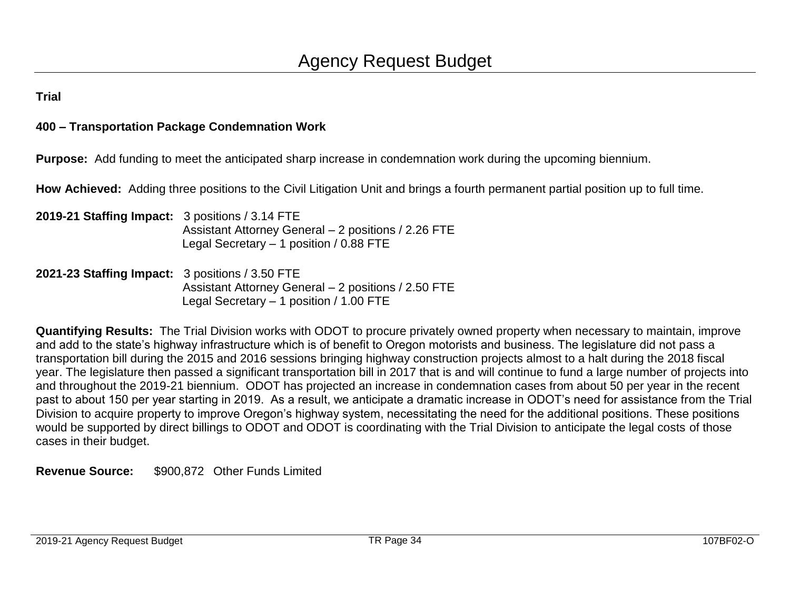#### **400 – Transportation Package Condemnation Work**

**Purpose:** Add funding to meet the anticipated sharp increase in condemnation work during the upcoming biennium.

**How Achieved:** Adding three positions to the Civil Litigation Unit and brings a fourth permanent partial position up to full time.

- **2019-21 Staffing Impact:** 3 positions / 3.14 FTE Assistant Attorney General – 2 positions / 2.26 FTE Legal Secretary – 1 position / 0.88 FTE
- **2021-23 Staffing Impact:** 3 positions / 3.50 FTE Assistant Attorney General – 2 positions / 2.50 FTE Legal Secretary – 1 position / 1.00 FTE

**Quantifying Results:** The Trial Division works with ODOT to procure privately owned property when necessary to maintain, improve and add to the state's highway infrastructure which is of benefit to Oregon motorists and business. The legislature did not pass a transportation bill during the 2015 and 2016 sessions bringing highway construction projects almost to a halt during the 2018 fiscal year. The legislature then passed a significant transportation bill in 2017 that is and will continue to fund a large number of projects into and throughout the 2019-21 biennium. ODOT has projected an increase in condemnation cases from about 50 per year in the recent past to about 150 per year starting in 2019. As a result, we anticipate a dramatic increase in ODOT's need for assistance from the Trial Division to acquire property to improve Oregon's highway system, necessitating the need for the additional positions. These positions would be supported by direct billings to ODOT and ODOT is coordinating with the Trial Division to anticipate the legal costs of those cases in their budget.

**Revenue Source:** \$900,872 Other Funds Limited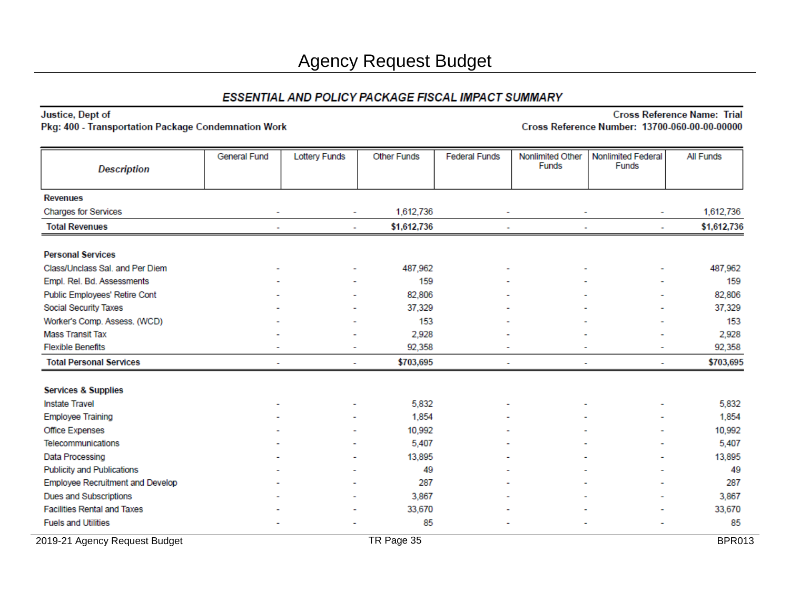Justice, Dept of Pkg: 400 - Transportation Package Condemnation Work

| <b>Description</b>                 | General Fund | <b>Lottery Funds</b>     | <b>Other Funds</b> | <b>Federal Funds</b> | Nonlimited Other<br>Funds | <b>Nonlimited Federal</b><br>Funds | <b>All Funds</b> |
|------------------------------------|--------------|--------------------------|--------------------|----------------------|---------------------------|------------------------------------|------------------|
| <b>Revenues</b>                    |              |                          |                    |                      |                           |                                    |                  |
| <b>Charges for Services</b>        | ٠            | $\overline{\phantom{a}}$ | 1,612,736          | ٠                    | $\overline{\phantom{a}}$  | $\overline{\phantom{a}}$           | 1,612,736        |
| <b>Total Revenues</b>              |              | ٠                        | \$1,612,736        |                      |                           |                                    | \$1,612,736      |
| <b>Personal Services</b>           |              |                          |                    |                      |                           |                                    |                  |
| Class/Unclass Sal, and Per Diem    |              |                          | 487,962            |                      |                           |                                    | 487,962          |
| Empl. Rel. Bd. Assessments         |              |                          | 159                |                      |                           |                                    | 159              |
| Public Employees' Retire Cont      |              |                          | 82,806             |                      |                           |                                    | 82,806           |
| Social Security Taxes              |              |                          | 37,329             |                      |                           |                                    | 37,329           |
| Worker's Comp. Assess. (WCD)       |              |                          | 153                |                      |                           |                                    | 153              |
| <b>Mass Transit Tax</b>            |              |                          | 2,928              |                      |                           |                                    | 2,928            |
| <b>Flexible Benefits</b>           |              | ۰                        | 92,358             |                      |                           |                                    | 92,358           |
| <b>Total Personal Services</b>     |              | ٠                        | \$703,695          | ۰                    | ۰                         |                                    | \$703,695        |
| <b>Services &amp; Supplies</b>     |              |                          |                    |                      |                           |                                    |                  |
| <b>Instate Travel</b>              |              |                          | 5,832              |                      |                           |                                    | 5,832            |
| <b>Employee Training</b>           |              |                          | 1,854              |                      |                           |                                    | 1,854            |
| Office Expenses                    |              |                          | 10,992             |                      |                           |                                    | 10,992           |
| Telecommunications                 |              |                          | 5,407              |                      |                           |                                    | 5,407            |
| Data Processing                    |              |                          | 13,895             |                      |                           |                                    | 13,895           |
| <b>Publicity and Publications</b>  |              |                          | 49                 |                      |                           |                                    | 49               |
| Employee Recruitment and Develop   |              |                          | 287                |                      |                           |                                    | 287              |
| Dues and Subscriptions             |              |                          | 3,867              |                      |                           |                                    | 3,867            |
| <b>Facilities Rental and Taxes</b> |              |                          | 33,670             |                      |                           |                                    | 33,670           |
| <b>Fuels and Utilities</b>         |              |                          | 85                 |                      |                           |                                    | 85               |
| 2019-21 Agency Request Budget      |              |                          | TR Page 35         |                      |                           |                                    | <b>BPR013</b>    |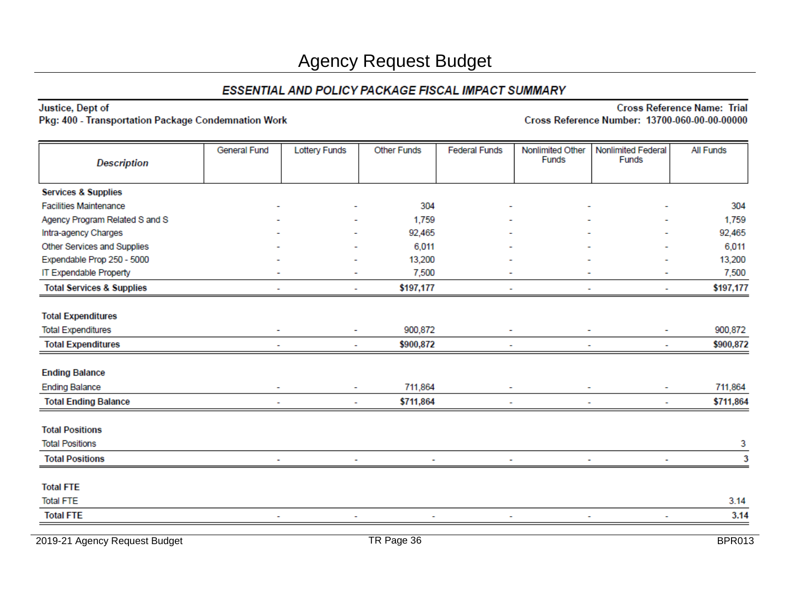Justice, Dept of

Pkg: 400 - Transportation Package Condemnation Work

**Cross Reference Name: Trial** Cross Reference Number: 13700-060-00-00-00000

| <b>Description</b>                   | General Fund             | <b>Lottery Funds</b>     | <b>Other Funds</b> | <b>Federal Funds</b> | Nonlimited Other<br>Funds | Nonlimited Federal<br>Funds | All Funds |
|--------------------------------------|--------------------------|--------------------------|--------------------|----------------------|---------------------------|-----------------------------|-----------|
|                                      |                          |                          |                    |                      |                           |                             |           |
| <b>Services &amp; Supplies</b>       |                          |                          |                    |                      |                           |                             |           |
| <b>Facilities Maintenance</b>        |                          |                          | 304                |                      |                           |                             | 304       |
| Agency Program Related S and S       |                          |                          | 1,759              |                      |                           |                             | 1,759     |
| Intra-agency Charges                 |                          |                          | 92,465             |                      |                           |                             | 92,465    |
| Other Services and Supplies          |                          |                          | 6,011              |                      |                           |                             | 6,011     |
| Expendable Prop 250 - 5000           |                          |                          | 13,200             |                      |                           |                             | 13,200    |
| IT Expendable Property               |                          |                          | 7,500              |                      |                           |                             | 7,500     |
| <b>Total Services &amp; Supplies</b> |                          | $\overline{\phantom{a}}$ | \$197,177          |                      |                           | $\ddot{\phantom{0}}$        | \$197,177 |
|                                      |                          |                          |                    |                      |                           |                             |           |
| <b>Total Expenditures</b>            |                          |                          |                    |                      |                           |                             |           |
| <b>Total Expenditures</b>            |                          | $\blacksquare$           | 900,872            |                      |                           |                             | 900,872   |
| <b>Total Expenditures</b>            |                          | L.                       | \$900,872          |                      |                           | ٠                           | \$900,872 |
| <b>Ending Balance</b>                |                          |                          |                    |                      |                           |                             |           |
| <b>Ending Balance</b>                | $\overline{\phantom{a}}$ | ٠                        | 711,864            |                      |                           | $\overline{\phantom{a}}$    | 711,864   |
| <b>Total Ending Balance</b>          |                          | ۰                        | \$711,864          |                      |                           | ۰                           | \$711,864 |
|                                      |                          |                          |                    |                      |                           |                             |           |
| <b>Total Positions</b>               |                          |                          |                    |                      |                           |                             |           |
| <b>Total Positions</b>               |                          |                          |                    |                      |                           |                             | 3         |
| <b>Total Positions</b>               |                          |                          |                    |                      |                           | ۰                           | 3         |
| <b>Total FTE</b>                     |                          |                          |                    |                      |                           |                             |           |
| <b>Total FTE</b>                     |                          |                          |                    |                      |                           |                             | 3.14      |
| <b>Total FTE</b>                     |                          |                          |                    |                      |                           |                             | 3.14      |
|                                      |                          |                          |                    |                      |                           |                             |           |

2019-21 Agency Request Budget **TR Page 36** BPR013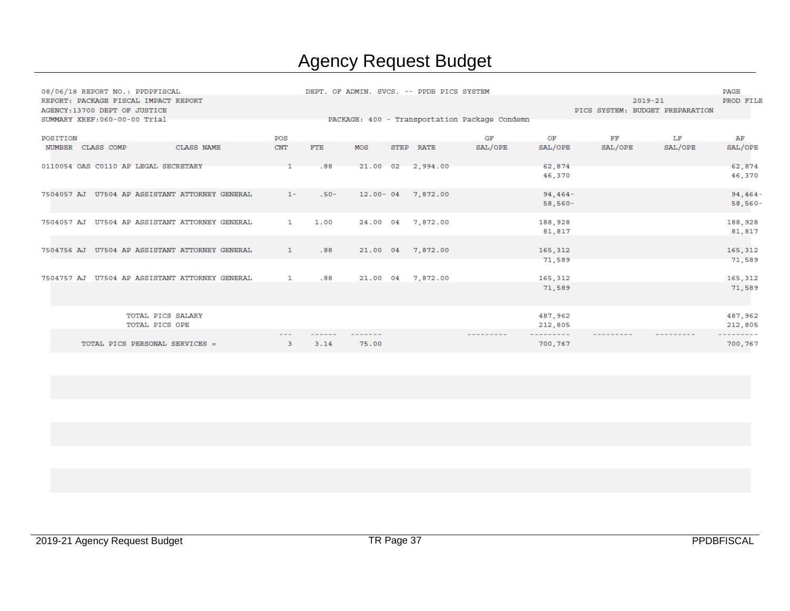|                   |  | 08/06/18 REPORT NO.: PPDPFISCAL |                                                |  |              |         |       |                   | DEPT. OF ADMIN. SVCS. -- PPDB PICS SYSTEM     |           |                                 |             |         | PAGE      |
|-------------------|--|---------------------------------|------------------------------------------------|--|--------------|---------|-------|-------------------|-----------------------------------------------|-----------|---------------------------------|-------------|---------|-----------|
|                   |  | AGENCY: 13700 DEPT OF JUSTICE   | REPORT: PACKAGE FISCAL IMPACT REPORT           |  |              |         |       |                   |                                               |           | PICS SYSTEM: BUDGET PREPARATION | $2019 - 21$ |         | PROD FILE |
|                   |  | SUMMARY XREF: 060-00-00 Trial   |                                                |  |              |         |       |                   | PACKAGE: 400 - Transportation Package Condemn |           |                                 |             |         |           |
| POSITION          |  |                                 |                                                |  | POS          |         |       |                   | GF                                            | OF        | FF                              |             | LF      | AF        |
| NUMBER CLASS COMP |  |                                 | CLASS NAME                                     |  | <b>CNT</b>   | FTE     | MOS   | STEP RATE         | SAL/OPE                                       | SAL/OPE   | SAL/OPE                         |             | SAL/OPE | SAL/OPE   |
|                   |  |                                 | 0110054 OAS C0110 AP LEGAL SECRETARY           |  |              | .88     |       | 21.00 02 2,994.00 |                                               | 62,874    |                                 |             |         | 62,874    |
|                   |  |                                 |                                                |  |              |         |       |                   |                                               | 46,370    |                                 |             |         | 46,370    |
|                   |  |                                 | 7504057 AJ U7504 AP ASSISTANT ATTORNEY GENERAL |  | $1 -$        | $.50 -$ |       | 12.00-04 7,872.00 |                                               | $94,464-$ |                                 |             |         | $94,464-$ |
|                   |  |                                 |                                                |  |              |         |       |                   |                                               | 58,560-   |                                 |             |         | 58,560-   |
|                   |  |                                 | 7504057 AJ U7504 AP ASSISTANT ATTORNEY GENERAL |  | $\mathbf{1}$ | 1.00    |       | 24.00 04 7,872.00 |                                               | 188,928   |                                 |             |         | 188,928   |
|                   |  |                                 |                                                |  |              |         |       |                   |                                               | 81,817    |                                 |             |         | 81,817    |
|                   |  |                                 |                                                |  |              |         |       |                   |                                               |           |                                 |             |         |           |
|                   |  |                                 | 7504756 AJ U7504 AP ASSISTANT ATTORNEY GENERAL |  | $\mathbf{1}$ | .88     |       | 21.00 04 7,872.00 |                                               | 165,312   |                                 |             |         | 165,312   |
|                   |  |                                 |                                                |  |              |         |       |                   |                                               | 71,589    |                                 |             |         | 71,589    |
|                   |  |                                 | 7504757 AJ U7504 AP ASSISTANT ATTORNEY GENERAL |  | $\mathbf{1}$ | .88     |       | 21.00 04 7,872.00 |                                               | 165,312   |                                 |             |         | 165,312   |
|                   |  |                                 |                                                |  |              |         |       |                   |                                               | 71,589    |                                 |             |         | 71,589    |
|                   |  |                                 | <b>TOTAL PICS SALARY</b>                       |  |              |         |       |                   |                                               | 487,962   |                                 |             |         | 487,962   |
|                   |  | TOTAL PICS OPE                  |                                                |  |              |         |       |                   |                                               | 212,805   |                                 |             |         | 212,805   |
|                   |  |                                 |                                                |  |              |         |       |                   | ---------                                     | --------- | ---------                       |             |         | --------  |
|                   |  |                                 | TOTAL PICS PERSONAL SERVICES =                 |  | 3.           | 3.14    | 75.00 |                   |                                               | 700,767   |                                 |             |         | 700,767   |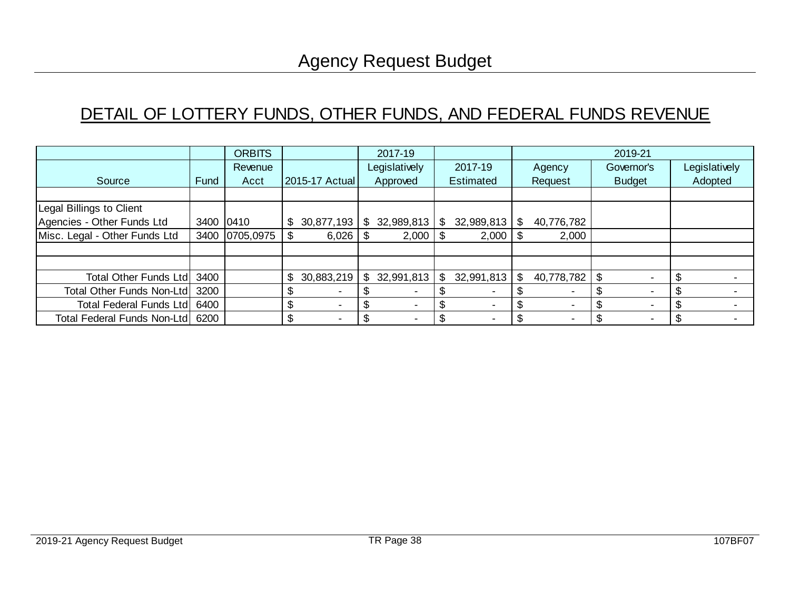## DETAIL OF LOTTERY FUNDS, OTHER FUNDS, AND FEDERAL FUNDS REVENUE

|                                |           | <b>ORBITS</b>  |      |                |     | 2017-19                  |     |                  |      |            | 2019-21                  |               |
|--------------------------------|-----------|----------------|------|----------------|-----|--------------------------|-----|------------------|------|------------|--------------------------|---------------|
|                                |           | Revenue        |      |                |     | Legislatively            |     | 2017-19          |      | Agency     | Governor's               | Legislatively |
| Source                         | Fund      | Acct           |      | 2015-17 Actual |     | Approved                 |     | <b>Estimated</b> |      | Request    | <b>Budget</b>            | Adopted       |
|                                |           |                |      |                |     |                          |     |                  |      |            |                          |               |
| Legal Billings to Client       |           |                |      |                |     |                          |     |                  |      |            |                          |               |
| Agencies - Other Funds Ltd     | 3400 0410 |                | \$   | 30,877,193     | \$. | 32,989,813               | \$. | 32,989,813       | \$.  | 40,776,782 |                          |               |
| Misc. Legal - Other Funds Ltd  |           | 3400 0705,0975 | - \$ |                |     | 2,000                    | -S  | 2,000            | - \$ | 2,000      |                          |               |
|                                |           |                |      |                |     |                          |     |                  |      |            |                          |               |
|                                |           |                |      |                |     |                          |     |                  |      |            |                          |               |
| Total Other Funds Ltd          | 3400      |                | \$   | 30,883,219     | \$  | 32,991,813               | \$  | 32,991,813       | \$   |            | $\overline{\phantom{0}}$ |               |
| Total Other Funds Non-Ltd 3200 |           |                | \$   |                |     |                          |     |                  |      |            |                          |               |
| Total Federal Funds Ltd        | 6400      |                | \$   |                |     |                          |     |                  |      | -          | $\overline{\phantom{0}}$ |               |
| Total Federal Funds Non-Ltd    | 6200      |                | \$   |                |     | $\overline{\phantom{0}}$ | \$  |                  |      |            |                          |               |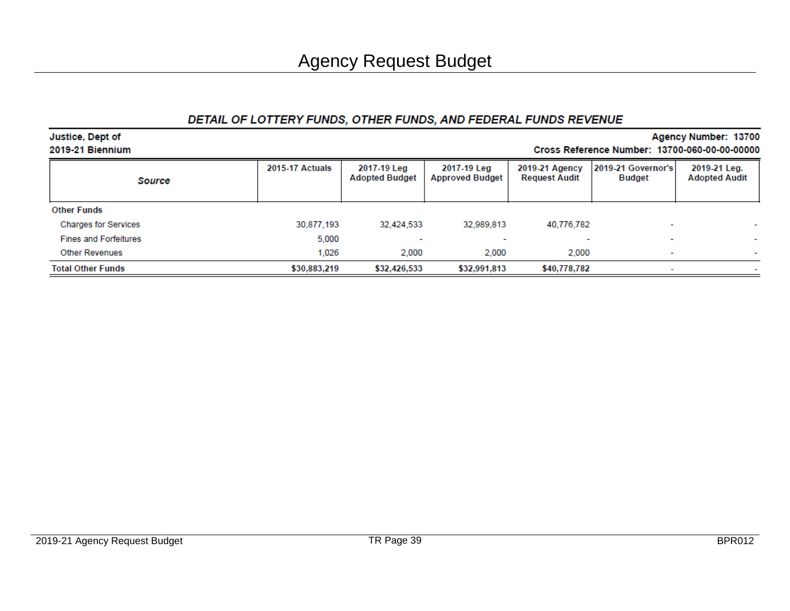#### DETAIL OF LOTTERY FUNDS, OTHER FUNDS, AND FEDERAL FUNDS REVENUE

| <b>Justice, Dept of</b>      |                                               |                                      |                                       |                                        |                                     | Agency Number: 13700                 |  |  |  |  |  |  |  |  |  |
|------------------------------|-----------------------------------------------|--------------------------------------|---------------------------------------|----------------------------------------|-------------------------------------|--------------------------------------|--|--|--|--|--|--|--|--|--|
| 2019-21 Biennium             | Cross Reference Number: 13700-060-00-00-00000 |                                      |                                       |                                        |                                     |                                      |  |  |  |  |  |  |  |  |  |
| Source                       | <b>2015-17 Actuals</b>                        | 2017-19 Leg<br><b>Adopted Budget</b> | 2017-19 Leg<br><b>Approved Budget</b> | 2019-21 Agency<br><b>Request Audit</b> | 2019-21 Governor's<br><b>Budget</b> | 2019-21 Leg.<br><b>Adopted Audit</b> |  |  |  |  |  |  |  |  |  |
| <b>Other Funds</b>           |                                               |                                      |                                       |                                        |                                     |                                      |  |  |  |  |  |  |  |  |  |
| <b>Charges for Services</b>  | 30,877,193                                    | 32.424.533                           | 32.989.813                            | 40,776,782                             | ۰                                   |                                      |  |  |  |  |  |  |  |  |  |
| <b>Fines and Forfeitures</b> | 5,000                                         |                                      |                                       |                                        |                                     |                                      |  |  |  |  |  |  |  |  |  |
| <b>Other Revenues</b>        | 1.026                                         | 2.000                                | 2.000                                 | 2.000                                  | $\overline{\phantom{a}}$            |                                      |  |  |  |  |  |  |  |  |  |
| <b>Total Other Funds</b>     | \$30,883,219                                  | \$32,426,533                         | \$32,991,813                          | \$40,778,782                           |                                     |                                      |  |  |  |  |  |  |  |  |  |